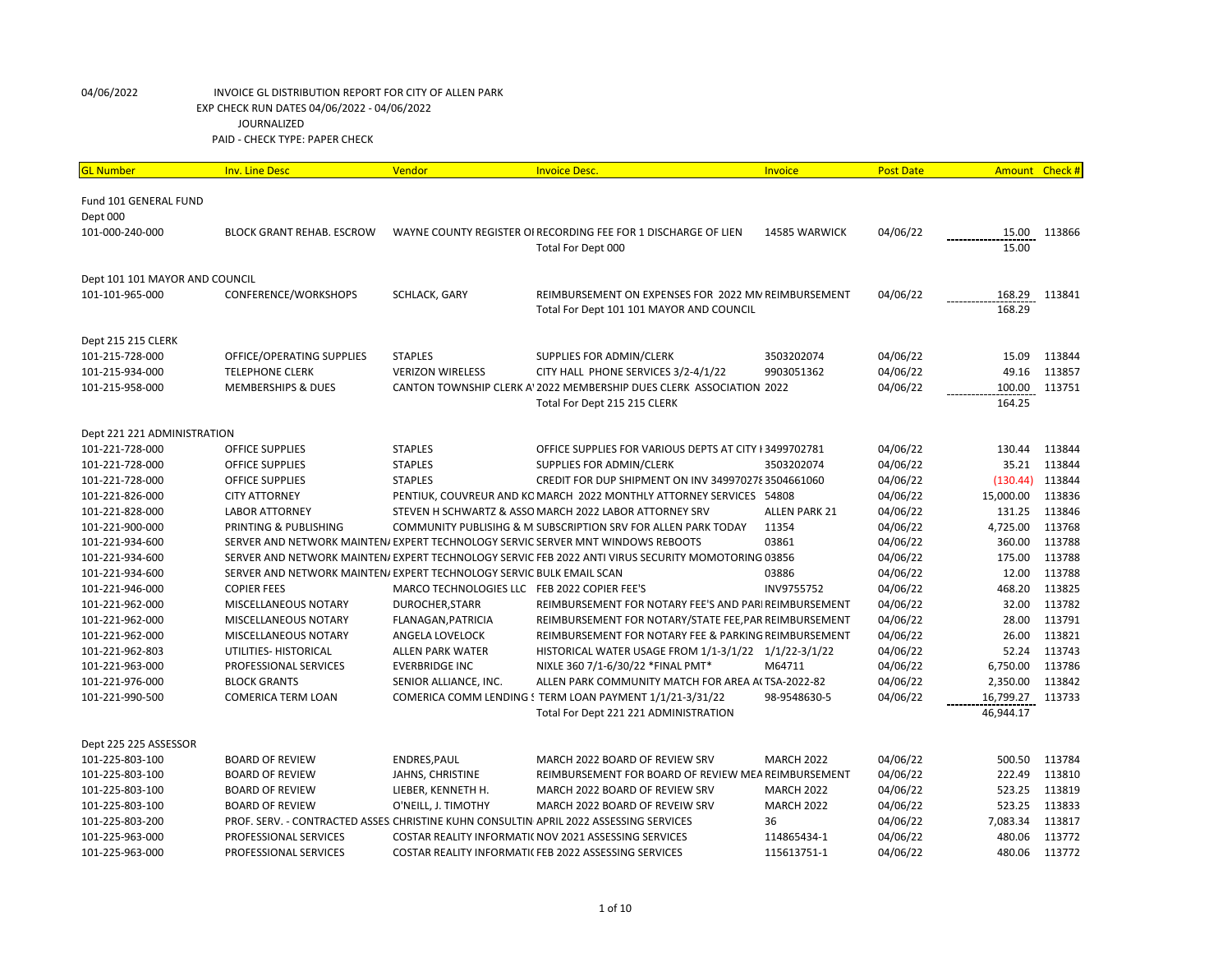| <b>GL Number</b>                  | <b>Inv. Line Desc</b>                                                | Vendor                                       | <b>Invoice Desc.</b>                                                                              | Invoice              | <b>Post Date</b> |           | Amount Check # |
|-----------------------------------|----------------------------------------------------------------------|----------------------------------------------|---------------------------------------------------------------------------------------------------|----------------------|------------------|-----------|----------------|
|                                   |                                                                      |                                              |                                                                                                   |                      |                  |           |                |
| Fund 101 GENERAL FUND<br>Dept 000 |                                                                      |                                              |                                                                                                   |                      |                  |           |                |
| 101-000-240-000                   | <b>BLOCK GRANT REHAB. ESCROW</b>                                     |                                              | WAYNE COUNTY REGISTER OI RECORDING FEE FOR 1 DISCHARGE OF LIEN                                    | 14585 WARWICK        | 04/06/22         | 15.00     | 113866         |
|                                   |                                                                      |                                              | Total For Dept 000                                                                                |                      |                  | 15.00     |                |
|                                   |                                                                      |                                              |                                                                                                   |                      |                  |           |                |
| Dept 101 101 MAYOR AND COUNCIL    |                                                                      |                                              |                                                                                                   |                      |                  |           |                |
| 101-101-965-000                   | CONFERENCE/WORKSHOPS                                                 | SCHLACK, GARY                                | REIMBURSEMENT ON EXPENSES FOR 2022 MN REIMBURSEMENT                                               |                      | 04/06/22         | 168.29    | 113841         |
|                                   |                                                                      |                                              | Total For Dept 101 101 MAYOR AND COUNCIL                                                          |                      |                  | 168.29    |                |
|                                   |                                                                      |                                              |                                                                                                   |                      |                  |           |                |
| Dept 215 215 CLERK                |                                                                      |                                              |                                                                                                   |                      |                  |           |                |
| 101-215-728-000                   | OFFICE/OPERATING SUPPLIES                                            | <b>STAPLES</b>                               | SUPPLIES FOR ADMIN/CLERK                                                                          | 3503202074           | 04/06/22         | 15.09     | 113844         |
| 101-215-934-000                   | <b>TELEPHONE CLERK</b>                                               | <b>VERIZON WIRELESS</b>                      | CITY HALL PHONE SERVICES 3/2-4/1/22                                                               | 9903051362           | 04/06/22         | 49.16     | 113857         |
| 101-215-958-000                   | <b>MEMBERSHIPS &amp; DUES</b>                                        |                                              | CANTON TOWNSHIP CLERK A' 2022 MEMBERSHIP DUES CLERK ASSOCIATION 2022                              |                      | 04/06/22         | 100.00    | 113751         |
|                                   |                                                                      |                                              | Total For Dept 215 215 CLERK                                                                      |                      |                  | 164.25    |                |
|                                   |                                                                      |                                              |                                                                                                   |                      |                  |           |                |
| Dept 221 221 ADMINISTRATION       |                                                                      |                                              |                                                                                                   |                      |                  |           |                |
| 101-221-728-000                   | <b>OFFICE SUPPLIES</b>                                               | <b>STAPLES</b>                               | OFFICE SUPPLIES FOR VARIOUS DEPTS AT CITY I 3499702781                                            |                      | 04/06/22         | 130.44    | 113844         |
| 101-221-728-000                   | <b>OFFICE SUPPLIES</b>                                               | <b>STAPLES</b>                               | SUPPLIES FOR ADMIN/CLERK                                                                          | 3503202074           | 04/06/22         | 35.21     | 113844         |
| 101-221-728-000                   | <b>OFFICE SUPPLIES</b>                                               | <b>STAPLES</b>                               | CREDIT FOR DUP SHIPMENT ON INV 349970278 3504661060                                               |                      | 04/06/22         | (130.44)  | 113844         |
| 101-221-826-000                   | <b>CITY ATTORNEY</b>                                                 |                                              | PENTIUK, COUVREUR AND KC MARCH 2022 MONTHLY ATTORNEY SERVICES 54808                               |                      | 04/06/22         | 15,000.00 | 113836         |
| 101-221-828-000                   | <b>LABOR ATTORNEY</b>                                                |                                              | STEVEN H SCHWARTZ & ASSO MARCH 2022 LABOR ATTORNEY SRV                                            | <b>ALLEN PARK 21</b> | 04/06/22         | 131.25    | 113846         |
| 101-221-900-000                   | PRINTING & PUBLISHING                                                |                                              | COMMUNITY PUBLISIHG & M SUBSCRIPTION SRV FOR ALLEN PARK TODAY                                     | 11354                | 04/06/22         | 4,725.00  | 113768         |
| 101-221-934-600                   |                                                                      |                                              | SERVER AND NETWORK MAINTEN/EXPERT TECHNOLOGY SERVIC SERVER MNT WINDOWS REBOOTS                    | 03861                | 04/06/22         | 360.00    | 113788         |
| 101-221-934-600                   |                                                                      |                                              | SERVER AND NETWORK MAINTEN/EXPERT TECHNOLOGY SERVIC FEB 2022 ANTI VIRUS SECURITY MOMOTORING 03856 |                      | 04/06/22         | 175.00    | 113788         |
| 101-221-934-600                   | SERVER AND NETWORK MAINTEN/ EXPERT TECHNOLOGY SERVIC BULK EMAIL SCAN |                                              |                                                                                                   | 03886                | 04/06/22         | 12.00     | 113788         |
| 101-221-946-000                   | <b>COPIER FEES</b>                                                   | MARCO TECHNOLOGIES LLC FEB 2022 COPIER FEE'S |                                                                                                   | INV9755752           | 04/06/22         | 468.20    | 113825         |
| 101-221-962-000                   | MISCELLANEOUS NOTARY                                                 | <b>DUROCHER, STARR</b>                       | REIMBURSEMENT FOR NOTARY FEE'S AND PAR REIMBURSEMENT                                              |                      | 04/06/22         | 32.00     | 113782         |
| 101-221-962-000                   | MISCELLANEOUS NOTARY                                                 | FLANAGAN, PATRICIA                           | REIMBURSEMENT FOR NOTARY/STATE FEE, PAR REIMBURSEMENT                                             |                      | 04/06/22         | 28.00     | 113791         |
| 101-221-962-000                   | MISCELLANEOUS NOTARY                                                 | ANGELA LOVELOCK                              | REIMBURSEMENT FOR NOTARY FEE & PARKING REIMBURSEMENT                                              |                      | 04/06/22         | 26.00     | 113821         |
| 101-221-962-803                   | UTILITIES- HISTORICAL                                                | <b>ALLEN PARK WATER</b>                      | HISTORICAL WATER USAGE FROM 1/1-3/1/22 1/1/22-3/1/22                                              |                      | 04/06/22         | 52.24     | 113743         |
| 101-221-963-000                   | PROFESSIONAL SERVICES                                                | <b>EVERBRIDGE INC</b>                        | NIXLE 360 7/1-6/30/22 *FINAL PMT*                                                                 | M64711               | 04/06/22         | 6,750.00  | 113786         |
| 101-221-976-000                   | <b>BLOCK GRANTS</b>                                                  | SENIOR ALLIANCE, INC.                        | ALLEN PARK COMMUNITY MATCH FOR AREA A(TSA-2022-82                                                 |                      | 04/06/22         | 2,350.00  | 113842         |
| 101-221-990-500                   | <b>COMERICA TERM LOAN</b>                                            |                                              | COMERICA COMM LENDING STERM LOAN PAYMENT 1/1/21-3/31/22                                           | 98-9548630-5         | 04/06/22         | 16,799.27 | 113733         |
|                                   |                                                                      |                                              | Total For Dept 221 221 ADMINISTRATION                                                             |                      |                  | 46,944.17 |                |
|                                   |                                                                      |                                              |                                                                                                   |                      |                  |           |                |
| Dept 225 225 ASSESSOR             |                                                                      |                                              |                                                                                                   |                      |                  |           |                |
| 101-225-803-100                   | <b>BOARD OF REVIEW</b>                                               | ENDRES, PAUL                                 | MARCH 2022 BOARD OF REVIEW SRV                                                                    | <b>MARCH 2022</b>    | 04/06/22         | 500.50    | 113784         |
| 101-225-803-100                   | <b>BOARD OF REVIEW</b>                                               | JAHNS, CHRISTINE                             | REIMBURSEMENT FOR BOARD OF REVIEW MEA REIMBURSEMENT                                               |                      | 04/06/22         | 222.49    | 113810         |
| 101-225-803-100                   | <b>BOARD OF REVIEW</b>                                               | LIEBER, KENNETH H.                           | MARCH 2022 BOARD OF REVIEW SRV                                                                    | <b>MARCH 2022</b>    | 04/06/22         | 523.25    | 113819         |
| 101-225-803-100                   | <b>BOARD OF REVIEW</b>                                               | O'NEILL, J. TIMOTHY                          | MARCH 2022 BOARD OF REVEIW SRV                                                                    | <b>MARCH 2022</b>    | 04/06/22         | 523.25    | 113833         |
| 101-225-803-200                   |                                                                      |                                              | PROF. SERV. - CONTRACTED ASSES: CHRISTINE KUHN CONSULTIN APRIL 2022 ASSESSING SERVICES            | 36                   | 04/06/22         | 7,083.34  | 113817         |
| 101-225-963-000                   | PROFESSIONAL SERVICES                                                |                                              | COSTAR REALITY INFORMATI( NOV 2021 ASSESSING SERVICES                                             | 114865434-1          | 04/06/22         | 480.06    | 113772         |
| 101-225-963-000                   | PROFESSIONAL SERVICES                                                |                                              | COSTAR REALITY INFORMATIC FEB 2022 ASSESSING SERVICES                                             | 115613751-1          | 04/06/22         | 480.06    | 113772         |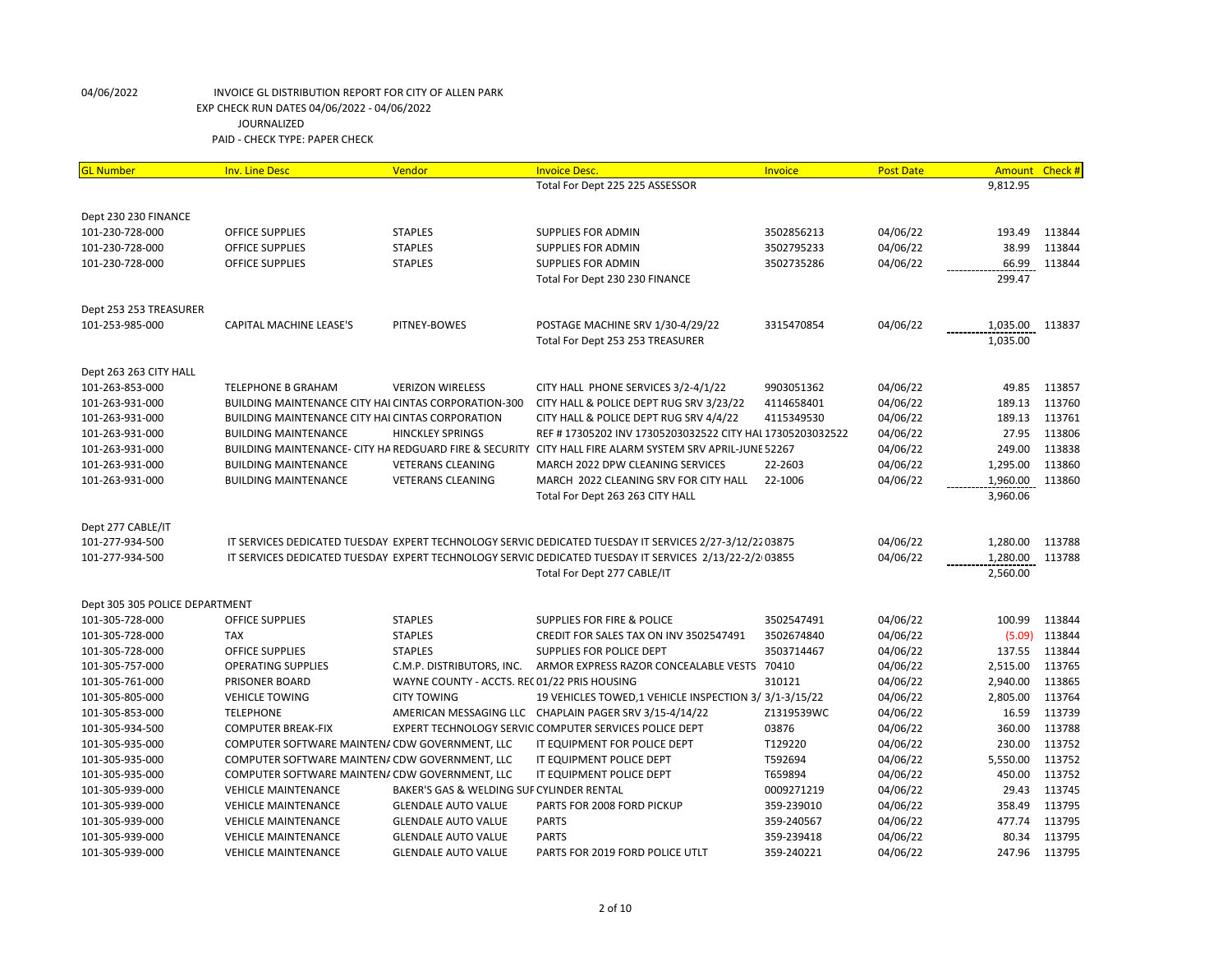| <b>GL Number</b>               | <b>Inv. Line Desc</b>                                       | Vendor                                       | <b>Invoice Desc.</b>                                                                                    | <b>Invoice</b> | <b>Post Date</b> | Amount   | Check # |
|--------------------------------|-------------------------------------------------------------|----------------------------------------------|---------------------------------------------------------------------------------------------------------|----------------|------------------|----------|---------|
|                                |                                                             |                                              | Total For Dept 225 225 ASSESSOR                                                                         |                |                  | 9.812.95 |         |
|                                |                                                             |                                              |                                                                                                         |                |                  |          |         |
| Dept 230 230 FINANCE           |                                                             |                                              |                                                                                                         |                |                  |          |         |
| 101-230-728-000                | <b>OFFICE SUPPLIES</b>                                      | <b>STAPLES</b>                               | <b>SUPPLIES FOR ADMIN</b>                                                                               | 3502856213     | 04/06/22         | 193.49   | 113844  |
| 101-230-728-000                | <b>OFFICE SUPPLIES</b>                                      | <b>STAPLES</b>                               | <b>SUPPLIES FOR ADMIN</b>                                                                               | 3502795233     | 04/06/22         | 38.99    | 113844  |
| 101-230-728-000                | OFFICE SUPPLIES                                             | <b>STAPLES</b>                               | <b>SUPPLIES FOR ADMIN</b>                                                                               | 3502735286     | 04/06/22         | 66.99    | 113844  |
|                                |                                                             |                                              | Total For Dept 230 230 FINANCE                                                                          |                |                  | 299.47   |         |
| Dept 253 253 TREASURER         |                                                             |                                              |                                                                                                         |                |                  |          |         |
| 101-253-985-000                | <b>CAPITAL MACHINE LEASE'S</b>                              | PITNEY-BOWES                                 | POSTAGE MACHINE SRV 1/30-4/29/22                                                                        | 3315470854     | 04/06/22         | 1,035.00 | 113837  |
|                                |                                                             |                                              | Total For Dept 253 253 TREASURER                                                                        |                |                  | 1,035.00 |         |
| Dept 263 263 CITY HALL         |                                                             |                                              |                                                                                                         |                |                  |          |         |
| 101-263-853-000                | TELEPHONE B GRAHAM                                          | <b>VERIZON WIRELESS</b>                      | CITY HALL PHONE SERVICES 3/2-4/1/22                                                                     | 9903051362     | 04/06/22         | 49.85    | 113857  |
| 101-263-931-000                | <b>BUILDING MAINTENANCE CITY HAI CINTAS CORPORATION-300</b> |                                              | CITY HALL & POLICE DEPT RUG SRV 3/23/22                                                                 | 4114658401     | 04/06/22         | 189.13   | 113760  |
| 101-263-931-000                | <b>BUILDING MAINTENANCE CITY HAI CINTAS CORPORATION</b>     |                                              | CITY HALL & POLICE DEPT RUG SRV 4/4/22                                                                  | 4115349530     | 04/06/22         | 189.13   | 113761  |
| 101-263-931-000                | <b>BUILDING MAINTENANCE</b>                                 | <b>HINCKLEY SPRINGS</b>                      | REF #17305202 INV 17305203032522 CITY HAI 17305203032522                                                |                | 04/06/22         | 27.95    | 113806  |
| 101-263-931-000                |                                                             |                                              | BUILDING MAINTENANCE- CITY HA REDGUARD FIRE & SECURITY CITY HALL FIRE ALARM SYSTEM SRV APRIL-JUNE 52267 |                | 04/06/22         | 249.00   | 113838  |
| 101-263-931-000                | <b>BUILDING MAINTENANCE</b>                                 | <b>VETERANS CLEANING</b>                     | MARCH 2022 DPW CLEANING SERVICES                                                                        | 22-2603        | 04/06/22         | 1,295.00 | 113860  |
| 101-263-931-000                | <b>BUILDING MAINTENANCE</b>                                 | <b>VETERANS CLEANING</b>                     | MARCH 2022 CLEANING SRV FOR CITY HALL                                                                   | 22-1006        | 04/06/22         | 1,960.00 | 113860  |
|                                |                                                             |                                              | Total For Dept 263 263 CITY HALL                                                                        |                |                  | 3,960.06 |         |
|                                |                                                             |                                              |                                                                                                         |                |                  |          |         |
| Dept 277 CABLE/IT              |                                                             |                                              |                                                                                                         |                |                  |          |         |
| 101-277-934-500                |                                                             |                                              | IT SERVICES DEDICATED TUESDAY EXPERT TECHNOLOGY SERVIC DEDICATED TUESDAY IT SERVICES 2/27-3/12/22 03875 |                | 04/06/22         | 1,280.00 | 113788  |
| 101-277-934-500                |                                                             |                                              | IT SERVICES DEDICATED TUESDAY EXPERT TECHNOLOGY SERVIC DEDICATED TUESDAY IT SERVICES 2/13/22-2/2 03855  |                | 04/06/22         | 1,280.00 | 113788  |
|                                |                                                             |                                              | Total For Dept 277 CABLE/IT                                                                             |                |                  | 2,560.00 |         |
| Dept 305 305 POLICE DEPARTMENT |                                                             |                                              |                                                                                                         |                |                  |          |         |
| 101-305-728-000                | <b>OFFICE SUPPLIES</b>                                      | <b>STAPLES</b>                               | SUPPLIES FOR FIRE & POLICE                                                                              | 3502547491     | 04/06/22         | 100.99   | 113844  |
| 101-305-728-000                | <b>TAX</b>                                                  | <b>STAPLES</b>                               | CREDIT FOR SALES TAX ON INV 3502547491                                                                  | 3502674840     | 04/06/22         | (5.09)   | 113844  |
| 101-305-728-000                | <b>OFFICE SUPPLIES</b>                                      | <b>STAPLES</b>                               | SUPPLIES FOR POLICE DEPT                                                                                | 3503714467     | 04/06/22         | 137.55   | 113844  |
| 101-305-757-000                | <b>OPERATING SUPPLIES</b>                                   | C.M.P. DISTRIBUTORS, INC.                    | ARMOR EXPRESS RAZOR CONCEALABLE VESTS 70410                                                             |                | 04/06/22         | 2,515.00 | 113765  |
| 101-305-761-000                | PRISONER BOARD                                              | WAYNE COUNTY - ACCTS. REC 01/22 PRIS HOUSING |                                                                                                         | 310121         | 04/06/22         | 2,940.00 | 113865  |
| 101-305-805-000                | <b>VEHICLE TOWING</b>                                       | <b>CITY TOWING</b>                           | 19 VEHICLES TOWED, 1 VEHICLE INSPECTION 3/3/1-3/15/22                                                   |                | 04/06/22         | 2,805.00 | 113764  |
| 101-305-853-000                | <b>TELEPHONE</b>                                            |                                              | AMERICAN MESSAGING LLC CHAPLAIN PAGER SRV 3/15-4/14/22                                                  | Z1319539WC     | 04/06/22         | 16.59    | 113739  |
| 101-305-934-500                | <b>COMPUTER BREAK-FIX</b>                                   |                                              | EXPERT TECHNOLOGY SERVIC COMPUTER SERVICES POLICE DEPT                                                  | 03876          | 04/06/22         | 360.00   | 113788  |
| 101-305-935-000                | COMPUTER SOFTWARE MAINTENA CDW GOVERNMENT, LLC              |                                              | IT EQUIPMENT FOR POLICE DEPT                                                                            | T129220        | 04/06/22         | 230.00   | 113752  |
| 101-305-935-000                | COMPUTER SOFTWARE MAINTEN/ CDW GOVERNMENT, LLC              |                                              | IT EQUIPMENT POLICE DEPT                                                                                | T592694        | 04/06/22         | 5,550.00 | 113752  |
| 101-305-935-000                | COMPUTER SOFTWARE MAINTENA CDW GOVERNMENT, LLC              |                                              | IT EQUIPMENT POLICE DEPT                                                                                | T659894        | 04/06/22         | 450.00   | 113752  |
| 101-305-939-000                | <b>VEHICLE MAINTENANCE</b>                                  | BAKER'S GAS & WELDING SUF CYLINDER RENTAL    |                                                                                                         | 0009271219     | 04/06/22         | 29.43    | 113745  |
| 101-305-939-000                | <b>VEHICLE MAINTENANCE</b>                                  | <b>GLENDALE AUTO VALUE</b>                   | PARTS FOR 2008 FORD PICKUP                                                                              | 359-239010     | 04/06/22         | 358.49   | 113795  |
| 101-305-939-000                | <b>VEHICLE MAINTENANCE</b>                                  | <b>GLENDALE AUTO VALUE</b>                   | <b>PARTS</b>                                                                                            | 359-240567     | 04/06/22         | 477.74   | 113795  |
| 101-305-939-000                | <b>VEHICLE MAINTENANCE</b>                                  | <b>GLENDALE AUTO VALUE</b>                   | <b>PARTS</b>                                                                                            | 359-239418     | 04/06/22         | 80.34    | 113795  |
| 101-305-939-000                | <b>VEHICLE MAINTENANCE</b>                                  | <b>GLENDALE AUTO VALUE</b>                   | PARTS FOR 2019 FORD POLICE UTLT                                                                         | 359-240221     | 04/06/22         | 247.96   | 113795  |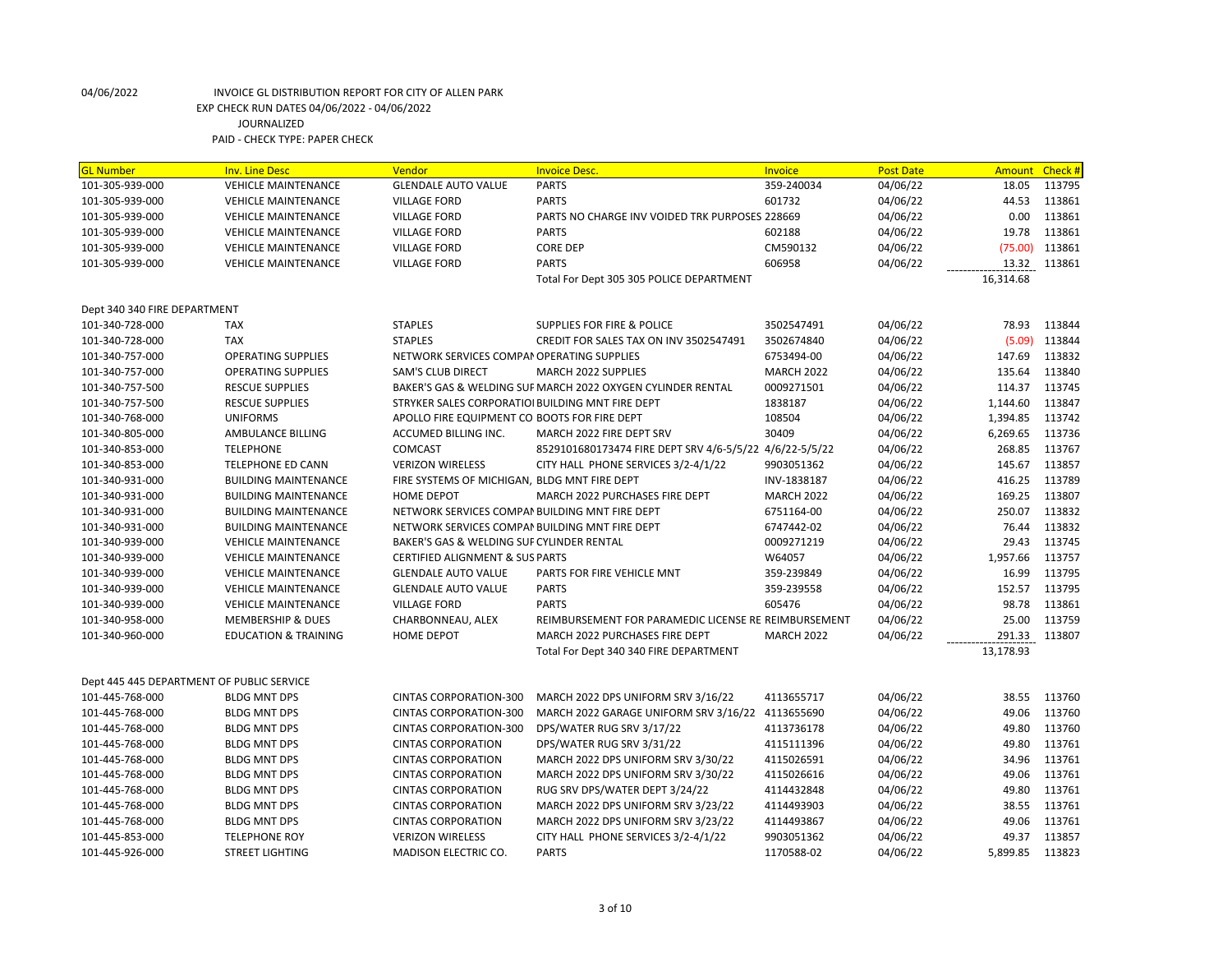| <b>GL Number</b>                          | <b>Inv. Line Desc</b>           | Vendor                                           | <b>Invoice Desc.</b>                                        | Invoice           | <b>Post Date</b> | <b>Amount</b> | Check # |
|-------------------------------------------|---------------------------------|--------------------------------------------------|-------------------------------------------------------------|-------------------|------------------|---------------|---------|
| 101-305-939-000                           | <b>VEHICLE MAINTENANCE</b>      | <b>GLENDALE AUTO VALUE</b>                       | <b>PARTS</b>                                                | 359-240034        | 04/06/22         | 18.05         | 113795  |
| 101-305-939-000                           | <b>VEHICLE MAINTENANCE</b>      | <b>VILLAGE FORD</b>                              | <b>PARTS</b>                                                | 601732            | 04/06/22         | 44.53         | 113861  |
| 101-305-939-000                           | <b>VEHICLE MAINTENANCE</b>      | <b>VILLAGE FORD</b>                              | PARTS NO CHARGE INV VOIDED TRK PURPOSES 228669              |                   | 04/06/22         | 0.00          | 113861  |
| 101-305-939-000                           | <b>VEHICLE MAINTENANCE</b>      | <b>VILLAGE FORD</b>                              | <b>PARTS</b>                                                | 602188            | 04/06/22         | 19.78         | 113861  |
| 101-305-939-000                           | <b>VEHICLE MAINTENANCE</b>      | <b>VILLAGE FORD</b>                              | <b>CORE DEP</b>                                             | CM590132          | 04/06/22         | (75.00)       | 113861  |
| 101-305-939-000                           | <b>VEHICLE MAINTENANCE</b>      | <b>VILLAGE FORD</b>                              | <b>PARTS</b>                                                | 606958            | 04/06/22         | 13.32         | 113861  |
|                                           |                                 |                                                  | Total For Dept 305 305 POLICE DEPARTMENT                    |                   |                  | 16,314.68     |         |
|                                           |                                 |                                                  |                                                             |                   |                  |               |         |
| Dept 340 340 FIRE DEPARTMENT              |                                 |                                                  |                                                             |                   |                  |               |         |
| 101-340-728-000                           | <b>TAX</b>                      | <b>STAPLES</b>                                   | <b>SUPPLIES FOR FIRE &amp; POLICE</b>                       | 3502547491        | 04/06/22         | 78.93         | 113844  |
| 101-340-728-000                           | <b>TAX</b>                      | <b>STAPLES</b>                                   | CREDIT FOR SALES TAX ON INV 3502547491                      | 3502674840        | 04/06/22         | (5.09)        | 113844  |
| 101-340-757-000                           | <b>OPERATING SUPPLIES</b>       | NETWORK SERVICES COMPAI OPERATING SUPPLIES       |                                                             | 6753494-00        | 04/06/22         | 147.69        | 113832  |
| 101-340-757-000                           | <b>OPERATING SUPPLIES</b>       | <b>SAM'S CLUB DIRECT</b>                         | MARCH 2022 SUPPLIES                                         | <b>MARCH 2022</b> | 04/06/22         | 135.64        | 113840  |
| 101-340-757-500                           | <b>RESCUE SUPPLIES</b>          |                                                  | BAKER'S GAS & WELDING SUF MARCH 2022 OXYGEN CYLINDER RENTAL | 0009271501        | 04/06/22         | 114.37        | 113745  |
| 101-340-757-500                           | <b>RESCUE SUPPLIES</b>          | STRYKER SALES CORPORATIOI BUILDING MNT FIRE DEPT |                                                             | 1838187           | 04/06/22         | 1,144.60      | 113847  |
| 101-340-768-000                           | <b>UNIFORMS</b>                 | APOLLO FIRE EQUIPMENT CO BOOTS FOR FIRE DEPT     |                                                             | 108504            | 04/06/22         | 1,394.85      | 113742  |
| 101-340-805-000                           | AMBULANCE BILLING               | ACCUMED BILLING INC.                             | MARCH 2022 FIRE DEPT SRV                                    | 30409             | 04/06/22         | 6,269.65      | 113736  |
| 101-340-853-000                           | <b>TELEPHONE</b>                | COMCAST                                          | 8529101680173474 FIRE DEPT SRV 4/6-5/5/22 4/6/22-5/5/22     |                   | 04/06/22         | 268.85        | 113767  |
| 101-340-853-000                           | <b>TELEPHONE ED CANN</b>        | <b>VERIZON WIRELESS</b>                          | CITY HALL PHONE SERVICES 3/2-4/1/22                         | 9903051362        | 04/06/22         | 145.67        | 113857  |
| 101-340-931-000                           | <b>BUILDING MAINTENANCE</b>     | FIRE SYSTEMS OF MICHIGAN, BLDG MNT FIRE DEPT     |                                                             | INV-1838187       | 04/06/22         | 416.25        | 113789  |
| 101-340-931-000                           | <b>BUILDING MAINTENANCE</b>     | HOME DEPOT                                       | MARCH 2022 PURCHASES FIRE DEPT                              | <b>MARCH 2022</b> | 04/06/22         | 169.25        | 113807  |
| 101-340-931-000                           | <b>BUILDING MAINTENANCE</b>     | NETWORK SERVICES COMPAN BUILDING MNT FIRE DEPT   |                                                             | 6751164-00        | 04/06/22         | 250.07        | 113832  |
| 101-340-931-000                           | <b>BUILDING MAINTENANCE</b>     | NETWORK SERVICES COMPAN BUILDING MNT FIRE DEPT   |                                                             | 6747442-02        | 04/06/22         | 76.44         | 113832  |
| 101-340-939-000                           | <b>VEHICLE MAINTENANCE</b>      | BAKER'S GAS & WELDING SUF CYLINDER RENTAL        |                                                             | 0009271219        | 04/06/22         | 29.43         | 113745  |
| 101-340-939-000                           | <b>VEHICLE MAINTENANCE</b>      | <b>CERTIFIED ALIGNMENT &amp; SUS PARTS</b>       |                                                             | W64057            | 04/06/22         | 1,957.66      | 113757  |
| 101-340-939-000                           | <b>VEHICLE MAINTENANCE</b>      | <b>GLENDALE AUTO VALUE</b>                       | PARTS FOR FIRE VEHICLE MNT                                  | 359-239849        | 04/06/22         | 16.99         | 113795  |
| 101-340-939-000                           | <b>VEHICLE MAINTENANCE</b>      | <b>GLENDALE AUTO VALUE</b>                       | <b>PARTS</b>                                                | 359-239558        | 04/06/22         | 152.57        | 113795  |
| 101-340-939-000                           | <b>VEHICLE MAINTENANCE</b>      | <b>VILLAGE FORD</b>                              | <b>PARTS</b>                                                | 605476            | 04/06/22         | 98.78         | 113861  |
| 101-340-958-000                           | <b>MEMBERSHIP &amp; DUES</b>    | CHARBONNEAU, ALEX                                | REIMBURSEMENT FOR PARAMEDIC LICENSE RE REIMBURSEMENT        |                   | 04/06/22         | 25.00         | 113759  |
| 101-340-960-000                           | <b>EDUCATION &amp; TRAINING</b> | HOME DEPOT                                       | MARCH 2022 PURCHASES FIRE DEPT                              | <b>MARCH 2022</b> | 04/06/22         | 291.33        | 113807  |
|                                           |                                 |                                                  | Total For Dept 340 340 FIRE DEPARTMENT                      |                   |                  | 13,178.93     |         |
|                                           |                                 |                                                  |                                                             |                   |                  |               |         |
| Dept 445 445 DEPARTMENT OF PUBLIC SERVICE |                                 |                                                  |                                                             |                   |                  |               |         |
| 101-445-768-000                           | <b>BLDG MNT DPS</b>             | <b>CINTAS CORPORATION-300</b>                    | MARCH 2022 DPS UNIFORM SRV 3/16/22                          | 4113655717        | 04/06/22         | 38.55         | 113760  |
| 101-445-768-000                           | <b>BLDG MNT DPS</b>             | <b>CINTAS CORPORATION-300</b>                    | MARCH 2022 GARAGE UNIFORM SRV 3/16/22 4113655690            |                   | 04/06/22         | 49.06         | 113760  |
| 101-445-768-000                           | <b>BLDG MNT DPS</b>             | <b>CINTAS CORPORATION-300</b>                    | DPS/WATER RUG SRV 3/17/22                                   | 4113736178        | 04/06/22         | 49.80         | 113760  |
| 101-445-768-000                           | <b>BLDG MNT DPS</b>             | <b>CINTAS CORPORATION</b>                        | DPS/WATER RUG SRV 3/31/22                                   | 4115111396        | 04/06/22         | 49.80         | 113761  |
| 101-445-768-000                           | <b>BLDG MNT DPS</b>             | <b>CINTAS CORPORATION</b>                        | MARCH 2022 DPS UNIFORM SRV 3/30/22                          | 4115026591        | 04/06/22         | 34.96         | 113761  |
| 101-445-768-000                           | <b>BLDG MNT DPS</b>             | <b>CINTAS CORPORATION</b>                        | MARCH 2022 DPS UNIFORM SRV 3/30/22                          | 4115026616        | 04/06/22         | 49.06         | 113761  |
| 101-445-768-000                           | <b>BLDG MNT DPS</b>             | <b>CINTAS CORPORATION</b>                        | RUG SRV DPS/WATER DEPT 3/24/22                              | 4114432848        | 04/06/22         | 49.80         | 113761  |
| 101-445-768-000                           | <b>BLDG MNT DPS</b>             | <b>CINTAS CORPORATION</b>                        | MARCH 2022 DPS UNIFORM SRV 3/23/22                          | 4114493903        | 04/06/22         | 38.55         | 113761  |
| 101-445-768-000                           | <b>BLDG MNT DPS</b>             | <b>CINTAS CORPORATION</b>                        | MARCH 2022 DPS UNIFORM SRV 3/23/22                          | 4114493867        | 04/06/22         | 49.06         | 113761  |
| 101-445-853-000                           | <b>TELEPHONE ROY</b>            | <b>VERIZON WIRELESS</b>                          | CITY HALL PHONE SERVICES 3/2-4/1/22                         | 9903051362        | 04/06/22         | 49.37         | 113857  |
| 101-445-926-000                           | <b>STREET LIGHTING</b>          | MADISON ELECTRIC CO.                             | <b>PARTS</b>                                                | 1170588-02        | 04/06/22         | 5,899.85      | 113823  |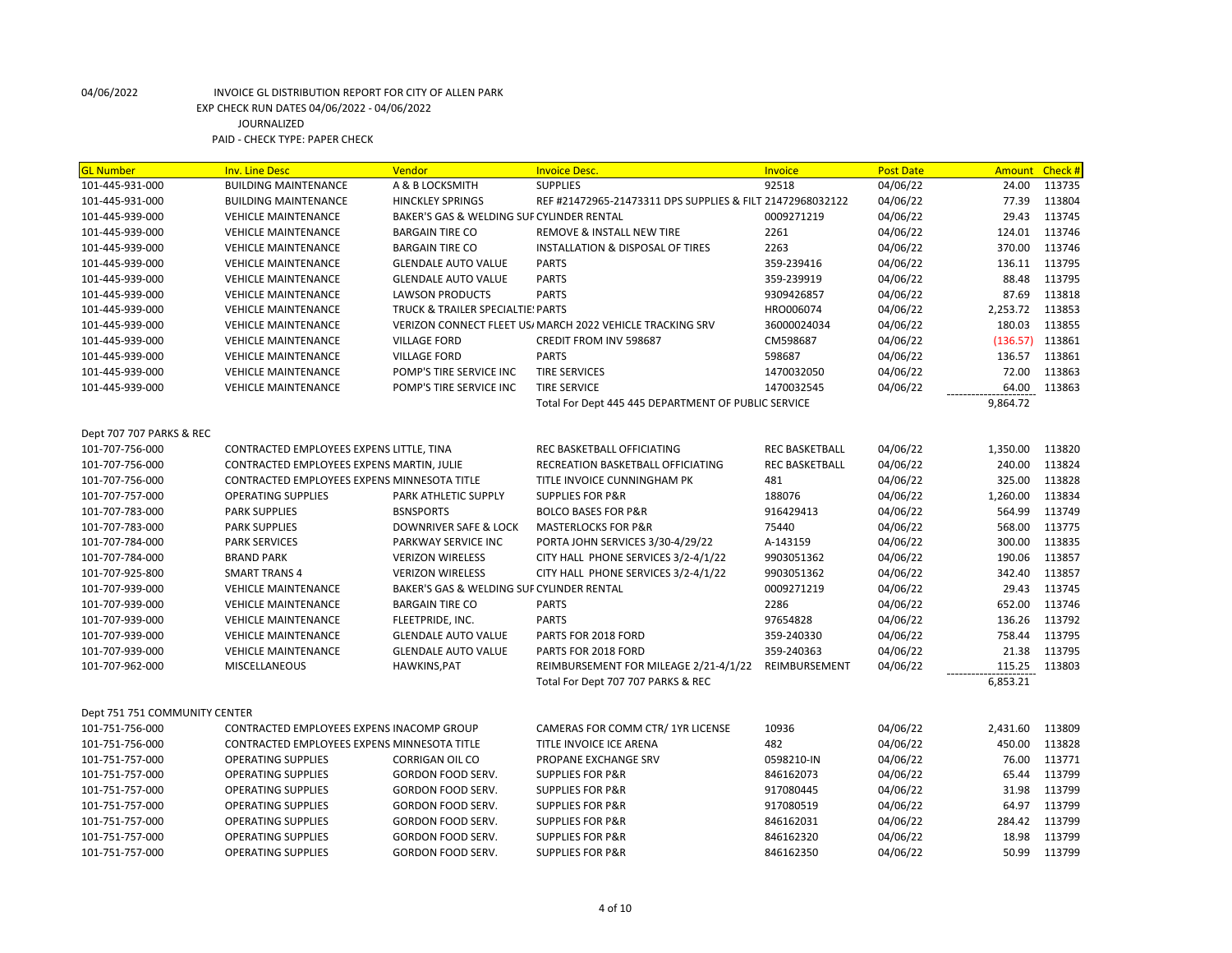| <b>GL Number</b>              | <b>Inv. Line Desc</b>                       | Vendor                                    | <b>Invoice Desc.</b>                                      | Invoice               | <b>Post Date</b> | <b>Amount</b> | Check # |
|-------------------------------|---------------------------------------------|-------------------------------------------|-----------------------------------------------------------|-----------------------|------------------|---------------|---------|
| 101-445-931-000               | <b>BUILDING MAINTENANCE</b>                 | A & B LOCKSMITH                           | <b>SUPPLIES</b>                                           | 92518                 | 04/06/22         | 24.00         | 113735  |
| 101-445-931-000               | <b>BUILDING MAINTENANCE</b>                 | <b>HINCKLEY SPRINGS</b>                   | REF #21472965-21473311 DPS SUPPLIES & FILT 21472968032122 |                       | 04/06/22         | 77.39         | 113804  |
| 101-445-939-000               | <b>VEHICLE MAINTENANCE</b>                  | BAKER'S GAS & WELDING SUF CYLINDER RENTAL |                                                           | 0009271219            | 04/06/22         | 29.43         | 113745  |
| 101-445-939-000               | <b>VEHICLE MAINTENANCE</b>                  | <b>BARGAIN TIRE CO</b>                    | REMOVE & INSTALL NEW TIRE                                 | 2261                  | 04/06/22         | 124.01        | 113746  |
| 101-445-939-000               | <b>VEHICLE MAINTENANCE</b>                  | <b>BARGAIN TIRE CO</b>                    | <b>INSTALLATION &amp; DISPOSAL OF TIRES</b>               | 2263                  | 04/06/22         | 370.00        | 113746  |
| 101-445-939-000               | <b>VEHICLE MAINTENANCE</b>                  | <b>GLENDALE AUTO VALUE</b>                | <b>PARTS</b>                                              | 359-239416            | 04/06/22         | 136.11        | 113795  |
| 101-445-939-000               | <b>VEHICLE MAINTENANCE</b>                  | <b>GLENDALE AUTO VALUE</b>                | <b>PARTS</b>                                              | 359-239919            | 04/06/22         | 88.48         | 113795  |
| 101-445-939-000               | <b>VEHICLE MAINTENANCE</b>                  | <b>LAWSON PRODUCTS</b>                    | <b>PARTS</b>                                              | 9309426857            | 04/06/22         | 87.69         | 113818  |
| 101-445-939-000               | <b>VEHICLE MAINTENANCE</b>                  | TRUCK & TRAILER SPECIALTIE: PARTS         |                                                           | HRO006074             | 04/06/22         | 2,253.72      | 113853  |
| 101-445-939-000               | <b>VEHICLE MAINTENANCE</b>                  |                                           | VERIZON CONNECT FLEET US/ MARCH 2022 VEHICLE TRACKING SRV | 36000024034           | 04/06/22         | 180.03        | 113855  |
| 101-445-939-000               | <b>VEHICLE MAINTENANCE</b>                  | <b>VILLAGE FORD</b>                       | CREDIT FROM INV 598687                                    | CM598687              | 04/06/22         | (136.57)      | 113861  |
| 101-445-939-000               | <b>VEHICLE MAINTENANCE</b>                  | <b>VILLAGE FORD</b>                       | <b>PARTS</b>                                              | 598687                | 04/06/22         | 136.57        | 113861  |
| 101-445-939-000               | <b>VEHICLE MAINTENANCE</b>                  | POMP'S TIRE SERVICE INC                   | <b>TIRE SERVICES</b>                                      | 1470032050            | 04/06/22         | 72.00         | 113863  |
| 101-445-939-000               | <b>VEHICLE MAINTENANCE</b>                  | POMP'S TIRE SERVICE INC                   | <b>TIRE SERVICE</b>                                       | 1470032545            | 04/06/22         | 64.00         | 113863  |
|                               |                                             |                                           | Total For Dept 445 445 DEPARTMENT OF PUBLIC SERVICE       |                       |                  | 9,864.72      |         |
|                               |                                             |                                           |                                                           |                       |                  |               |         |
| Dept 707 707 PARKS & REC      |                                             |                                           |                                                           |                       |                  |               |         |
| 101-707-756-000               | CONTRACTED EMPLOYEES EXPENS LITTLE, TINA    |                                           | REC BASKETBALL OFFICIATING                                | <b>REC BASKETBALL</b> | 04/06/22         | 1,350.00      | 113820  |
| 101-707-756-000               | CONTRACTED EMPLOYEES EXPENS MARTIN, JULIE   |                                           | RECREATION BASKETBALL OFFICIATING                         | <b>REC BASKETBALL</b> | 04/06/22         | 240.00        | 113824  |
| 101-707-756-000               | CONTRACTED EMPLOYEES EXPENS MINNESOTA TITLE |                                           | TITLE INVOICE CUNNINGHAM PK                               | 481                   | 04/06/22         | 325.00        | 113828  |
| 101-707-757-000               | <b>OPERATING SUPPLIES</b>                   | PARK ATHLETIC SUPPLY                      | <b>SUPPLIES FOR P&amp;R</b>                               | 188076                | 04/06/22         | 1,260.00      | 113834  |
| 101-707-783-000               | <b>PARK SUPPLIES</b>                        | <b>BSNSPORTS</b>                          | <b>BOLCO BASES FOR P&amp;R</b>                            | 916429413             | 04/06/22         | 564.99        | 113749  |
| 101-707-783-000               | <b>PARK SUPPLIES</b>                        | <b>DOWNRIVER SAFE &amp; LOCK</b>          | <b>MASTERLOCKS FOR P&amp;R</b>                            | 75440                 | 04/06/22         | 568.00        | 113775  |
| 101-707-784-000               | <b>PARK SERVICES</b>                        | PARKWAY SERVICE INC                       | PORTA JOHN SERVICES 3/30-4/29/22                          | A-143159              | 04/06/22         | 300.00        | 113835  |
| 101-707-784-000               | <b>BRAND PARK</b>                           | <b>VERIZON WIRELESS</b>                   | CITY HALL PHONE SERVICES 3/2-4/1/22                       | 9903051362            | 04/06/22         | 190.06        | 113857  |
| 101-707-925-800               | <b>SMART TRANS 4</b>                        | <b>VERIZON WIRELESS</b>                   | CITY HALL PHONE SERVICES 3/2-4/1/22                       | 9903051362            | 04/06/22         | 342.40        | 113857  |
| 101-707-939-000               | <b>VEHICLE MAINTENANCE</b>                  | BAKER'S GAS & WELDING SUF CYLINDER RENTAL |                                                           | 0009271219            | 04/06/22         | 29.43         | 113745  |
| 101-707-939-000               | <b>VEHICLE MAINTENANCE</b>                  | <b>BARGAIN TIRE CO</b>                    | <b>PARTS</b>                                              | 2286                  | 04/06/22         | 652.00        | 113746  |
| 101-707-939-000               | <b>VEHICLE MAINTENANCE</b>                  | FLEETPRIDE, INC.                          | <b>PARTS</b>                                              | 97654828              | 04/06/22         | 136.26        | 113792  |
| 101-707-939-000               | <b>VEHICLE MAINTENANCE</b>                  | <b>GLENDALE AUTO VALUE</b>                | PARTS FOR 2018 FORD                                       | 359-240330            | 04/06/22         | 758.44        | 113795  |
| 101-707-939-000               | <b>VEHICLE MAINTENANCE</b>                  | <b>GLENDALE AUTO VALUE</b>                | PARTS FOR 2018 FORD                                       | 359-240363            | 04/06/22         | 21.38         | 113795  |
| 101-707-962-000               | <b>MISCELLANEOUS</b>                        | HAWKINS, PAT                              | REIMBURSEMENT FOR MILEAGE 2/21-4/1/22                     | REIMBURSEMENT         | 04/06/22         | 115.25        | 113803  |
|                               |                                             |                                           | Total For Dept 707 707 PARKS & REC                        |                       |                  | 6,853.21      |         |
|                               |                                             |                                           |                                                           |                       |                  |               |         |
| Dept 751 751 COMMUNITY CENTER |                                             |                                           |                                                           |                       |                  |               |         |
| 101-751-756-000               | CONTRACTED EMPLOYEES EXPENS INACOMP GROUP   |                                           | CAMERAS FOR COMM CTR/ 1YR LICENSE                         | 10936                 | 04/06/22         | 2,431.60      | 113809  |
| 101-751-756-000               | CONTRACTED EMPLOYEES EXPENS MINNESOTA TITLE |                                           | TITLE INVOICE ICE ARENA                                   | 482                   | 04/06/22         | 450.00        | 113828  |
| 101-751-757-000               | <b>OPERATING SUPPLIES</b>                   | <b>CORRIGAN OIL CO</b>                    | PROPANE EXCHANGE SRV                                      | 0598210-IN            | 04/06/22         | 76.00         | 113771  |
| 101-751-757-000               | <b>OPERATING SUPPLIES</b>                   | GORDON FOOD SERV.                         | <b>SUPPLIES FOR P&amp;R</b>                               | 846162073             | 04/06/22         | 65.44         | 113799  |
| 101-751-757-000               | <b>OPERATING SUPPLIES</b>                   | GORDON FOOD SERV.                         | <b>SUPPLIES FOR P&amp;R</b>                               | 917080445             | 04/06/22         | 31.98         | 113799  |
| 101-751-757-000               | <b>OPERATING SUPPLIES</b>                   | GORDON FOOD SERV.                         | <b>SUPPLIES FOR P&amp;R</b>                               | 917080519             | 04/06/22         | 64.97         | 113799  |
| 101-751-757-000               | <b>OPERATING SUPPLIES</b>                   | GORDON FOOD SERV.                         | <b>SUPPLIES FOR P&amp;R</b>                               | 846162031             | 04/06/22         | 284.42        | 113799  |
| 101-751-757-000               | <b>OPERATING SUPPLIES</b>                   | GORDON FOOD SERV.                         | <b>SUPPLIES FOR P&amp;R</b>                               | 846162320             | 04/06/22         | 18.98         | 113799  |
| 101-751-757-000               | <b>OPERATING SUPPLIES</b>                   | GORDON FOOD SERV.                         | <b>SUPPLIES FOR P&amp;R</b>                               | 846162350             | 04/06/22         | 50.99         | 113799  |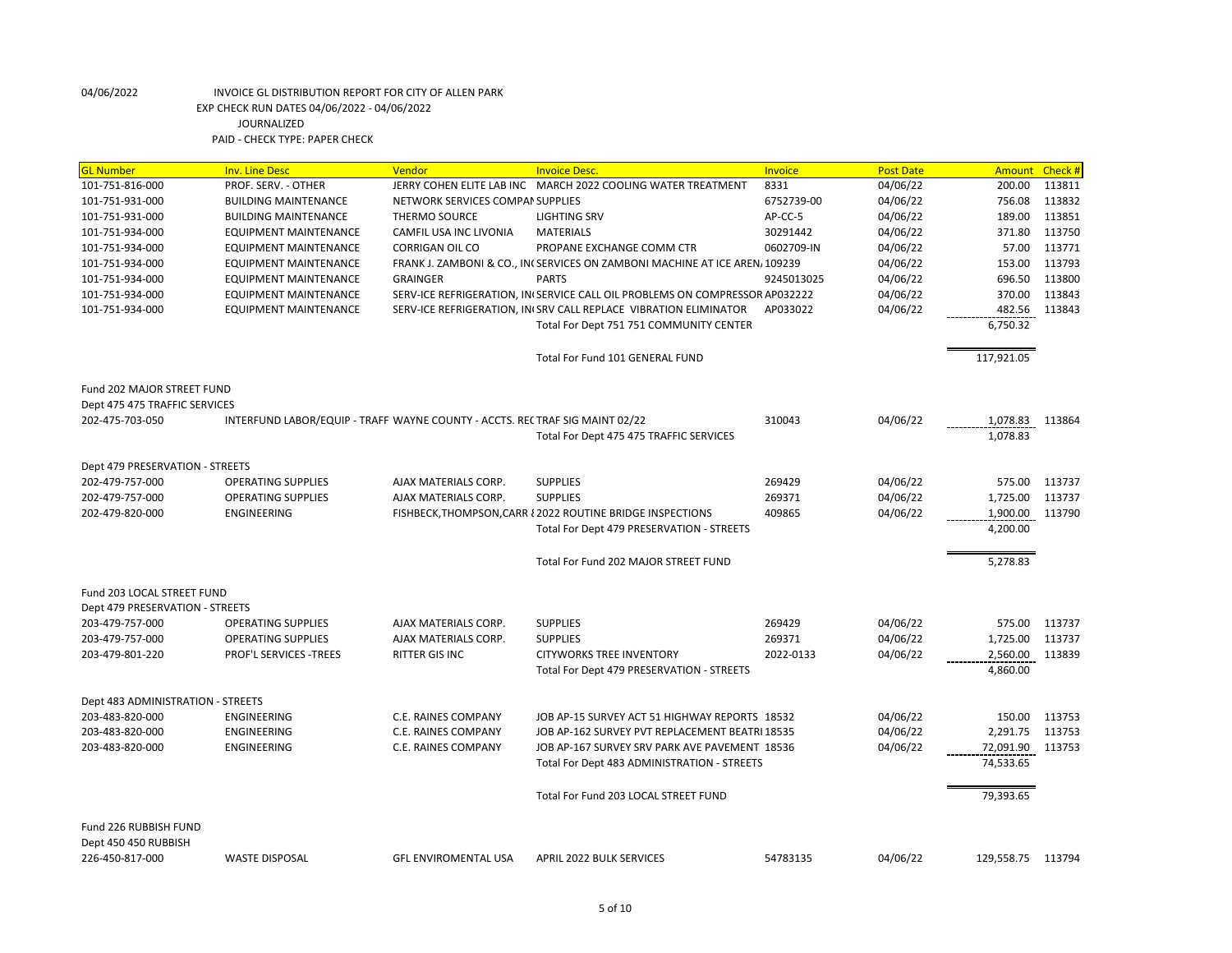| <b>GL Number</b>                              | <b>Inv. Line Desc</b>                                                        | <b>Vendor</b>                    | <b>Invoice Desc.</b>                                                        | <b>Invoice</b> | <b>Post Date</b> | Amount            | Check # |
|-----------------------------------------------|------------------------------------------------------------------------------|----------------------------------|-----------------------------------------------------------------------------|----------------|------------------|-------------------|---------|
| 101-751-816-000                               | PROF. SERV. - OTHER                                                          |                                  | JERRY COHEN ELITE LAB INC MARCH 2022 COOLING WATER TREATMENT                | 8331           | 04/06/22         | 200.00            | 113811  |
| 101-751-931-000                               | <b>BUILDING MAINTENANCE</b>                                                  | NETWORK SERVICES COMPAN SUPPLIES |                                                                             | 6752739-00     | 04/06/22         | 756.08            | 113832  |
| 101-751-931-000                               | <b>BUILDING MAINTENANCE</b>                                                  | THERMO SOURCE                    | <b>LIGHTING SRV</b>                                                         | AP-CC-5        | 04/06/22         | 189.00            | 113851  |
| 101-751-934-000                               | <b>EQUIPMENT MAINTENANCE</b>                                                 | <b>CAMFIL USA INC LIVONIA</b>    | <b>MATERIALS</b>                                                            | 30291442       | 04/06/22         | 371.80            | 113750  |
| 101-751-934-000                               | EQUIPMENT MAINTENANCE                                                        | <b>CORRIGAN OIL CO</b>           | PROPANE EXCHANGE COMM CTR                                                   | 0602709-IN     | 04/06/22         | 57.00             | 113771  |
| 101-751-934-000                               | EQUIPMENT MAINTENANCE                                                        |                                  | FRANK J. ZAMBONI & CO., IN(SERVICES ON ZAMBONI MACHINE AT ICE AREN, 109239  |                | 04/06/22         | 153.00            | 113793  |
| 101-751-934-000                               | <b>EQUIPMENT MAINTENANCE</b>                                                 | <b>GRAINGER</b>                  | <b>PARTS</b>                                                                | 9245013025     | 04/06/22         | 696.50            | 113800  |
| 101-751-934-000                               | EQUIPMENT MAINTENANCE                                                        |                                  | SERV-ICE REFRIGERATION, INISERVICE CALL OIL PROBLEMS ON COMPRESSOR AP032222 |                | 04/06/22         | 370.00            | 113843  |
| 101-751-934-000                               | <b>EQUIPMENT MAINTENANCE</b>                                                 |                                  | SERV-ICE REFRIGERATION, IN(SRV CALL REPLACE VIBRATION ELIMINATOR            | AP033022       | 04/06/22         | 482.56            | 113843  |
|                                               |                                                                              |                                  | Total For Dept 751 751 COMMUNITY CENTER                                     |                |                  | 6,750.32          |         |
|                                               |                                                                              |                                  | Total For Fund 101 GENERAL FUND                                             |                |                  | 117,921.05        |         |
| Fund 202 MAJOR STREET FUND                    |                                                                              |                                  |                                                                             |                |                  |                   |         |
| Dept 475 475 TRAFFIC SERVICES                 |                                                                              |                                  |                                                                             |                |                  |                   |         |
| 202-475-703-050                               | INTERFUND LABOR/EQUIP - TRAFFI WAYNE COUNTY - ACCTS. RECTRAF SIG MAINT 02/22 |                                  |                                                                             | 310043         | 04/06/22         | 1,078.83          | 113864  |
|                                               |                                                                              |                                  | Total For Dept 475 475 TRAFFIC SERVICES                                     |                |                  | 1,078.83          |         |
| Dept 479 PRESERVATION - STREETS               |                                                                              |                                  |                                                                             |                |                  |                   |         |
| 202-479-757-000                               | <b>OPERATING SUPPLIES</b>                                                    | AJAX MATERIALS CORP.             | <b>SUPPLIES</b>                                                             | 269429         | 04/06/22         | 575.00            | 113737  |
| 202-479-757-000                               | <b>OPERATING SUPPLIES</b>                                                    | AJAX MATERIALS CORP.             | <b>SUPPLIES</b>                                                             | 269371         | 04/06/22         | 1,725.00          | 113737  |
| 202-479-820-000                               | ENGINEERING                                                                  |                                  | FISHBECK, THOMPSON, CARR { 2022 ROUTINE BRIDGE INSPECTIONS                  | 409865         | 04/06/22         | 1,900.00          | 113790  |
|                                               |                                                                              |                                  | Total For Dept 479 PRESERVATION - STREETS                                   |                |                  | 4,200.00          |         |
|                                               |                                                                              |                                  | Total For Fund 202 MAJOR STREET FUND                                        |                |                  | 5,278.83          |         |
| Fund 203 LOCAL STREET FUND                    |                                                                              |                                  |                                                                             |                |                  |                   |         |
| Dept 479 PRESERVATION - STREETS               |                                                                              |                                  |                                                                             |                |                  |                   |         |
| 203-479-757-000                               | <b>OPERATING SUPPLIES</b>                                                    | AJAX MATERIALS CORP.             | <b>SUPPLIES</b>                                                             | 269429         | 04/06/22         | 575.00            | 113737  |
| 203-479-757-000                               | <b>OPERATING SUPPLIES</b>                                                    | AJAX MATERIALS CORP.             | <b>SUPPLIES</b>                                                             | 269371         | 04/06/22         | 1,725.00          | 113737  |
| 203-479-801-220                               | <b>PROF'L SERVICES -TREES</b>                                                | <b>RITTER GIS INC</b>            | <b>CITYWORKS TREE INVENTORY</b>                                             | 2022-0133      | 04/06/22         | 2,560.00          | 113839  |
|                                               |                                                                              |                                  | Total For Dept 479 PRESERVATION - STREETS                                   |                |                  | 4,860.00          |         |
| Dept 483 ADMINISTRATION - STREETS             |                                                                              |                                  |                                                                             |                |                  |                   |         |
| 203-483-820-000                               | <b>ENGINEERING</b>                                                           | C.E. RAINES COMPANY              | JOB AP-15 SURVEY ACT 51 HIGHWAY REPORTS 18532                               |                | 04/06/22         | 150.00            | 113753  |
| 203-483-820-000                               | <b>ENGINEERING</b>                                                           | C.E. RAINES COMPANY              | JOB AP-162 SURVEY PVT REPLACEMENT BEATRI 18535                              |                | 04/06/22         | 2,291.75          | 113753  |
| 203-483-820-000                               | <b>ENGINEERING</b>                                                           | C.E. RAINES COMPANY              | JOB AP-167 SURVEY SRV PARK AVE PAVEMENT 18536                               |                | 04/06/22         | 72,091.90         | 113753  |
|                                               |                                                                              |                                  | Total For Dept 483 ADMINISTRATION - STREETS                                 |                |                  | 74,533.65         |         |
|                                               |                                                                              |                                  | Total For Fund 203 LOCAL STREET FUND                                        |                |                  | 79,393.65         |         |
| Fund 226 RUBBISH FUND<br>Dept 450 450 RUBBISH |                                                                              |                                  |                                                                             |                |                  |                   |         |
| 226-450-817-000                               | <b>WASTE DISPOSAL</b>                                                        | <b>GFL ENVIROMENTAL USA</b>      | <b>APRIL 2022 BULK SERVICES</b>                                             | 54783135       | 04/06/22         | 129,558.75 113794 |         |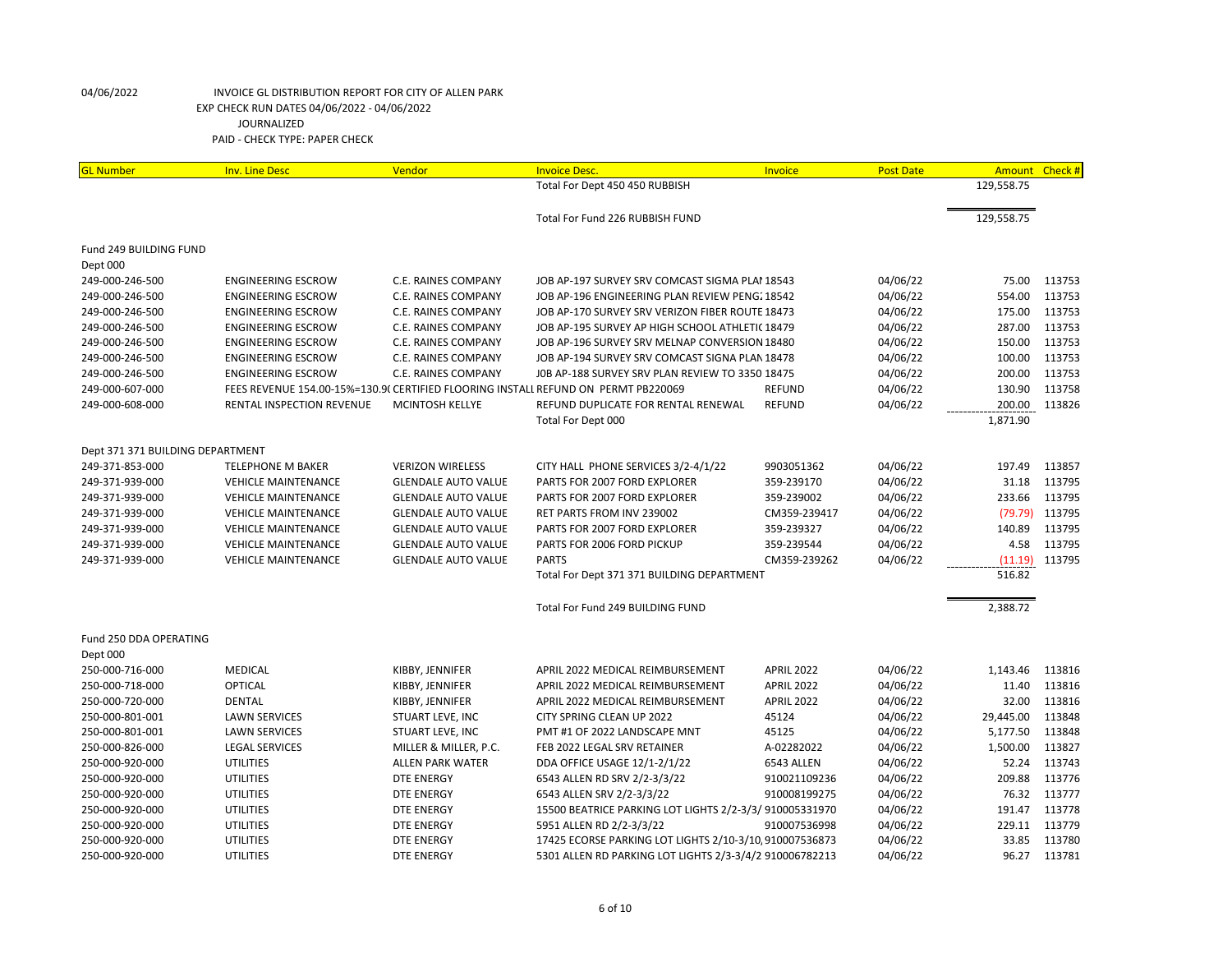| Total For Dept 450 450 RUBBISH<br>129,558.75<br>129,558.75<br>Total For Fund 226 RUBBISH FUND<br>Fund 249 BUILDING FUND<br>Dept 000<br>04/06/22<br>75.00<br>113753<br>249-000-246-500<br><b>ENGINEERING ESCROW</b><br>C.E. RAINES COMPANY<br>JOB AP-197 SURVEY SRV COMCAST SIGMA PLAI 18543<br>249-000-246-500<br>04/06/22<br>554.00<br>113753<br><b>ENGINEERING ESCROW</b><br>C.E. RAINES COMPANY<br>JOB AP-196 ENGINEERING PLAN REVIEW PENG. 18542<br>175.00<br>113753<br>249-000-246-500<br><b>ENGINEERING ESCROW</b><br><b>C.E. RAINES COMPANY</b><br>JOB AP-170 SURVEY SRV VERIZON FIBER ROUTE 18473<br>04/06/22<br>113753<br>04/06/22<br>287.00<br>249-000-246-500<br><b>ENGINEERING ESCROW</b><br>C.E. RAINES COMPANY<br>JOB AP-195 SURVEY AP HIGH SCHOOL ATHLETI(18479<br>150.00<br>113753<br>249-000-246-500<br><b>ENGINEERING ESCROW</b><br>C.E. RAINES COMPANY<br>JOB AP-196 SURVEY SRV MELNAP CONVERSION 18480<br>04/06/22<br><b>ENGINEERING ESCROW</b><br>JOB AP-194 SURVEY SRV COMCAST SIGNA PLAN 18478<br>04/06/22<br>100.00<br>113753<br>249-000-246-500<br>C.E. RAINES COMPANY<br>200.00<br>113753<br>249-000-246-500<br><b>ENGINEERING ESCROW</b><br>C.E. RAINES COMPANY<br>JOB AP-188 SURVEY SRV PLAN REVIEW TO 3350 18475<br>04/06/22<br>FEES REVENUE 154.00-15%=130.9( CERTIFIED FLOORING INSTALL REFUND ON PERMT PB220069<br><b>REFUND</b><br>04/06/22<br>130.90<br>113758<br>249-000-607-000<br>04/06/22<br>200.00<br>113826<br>249-000-608-000<br>RENTAL INSPECTION REVENUE<br>MCINTOSH KELLYE<br>REFUND DUPLICATE FOR RENTAL RENEWAL<br><b>REFUND</b><br>1,871.90<br>Total For Dept 000<br>Dept 371 371 BUILDING DEPARTMENT<br>249-371-853-000<br><b>TELEPHONE M BAKER</b><br><b>VERIZON WIRELESS</b><br>CITY HALL PHONE SERVICES 3/2-4/1/22<br>9903051362<br>04/06/22<br>197.49<br>113857<br>249-371-939-000<br>PARTS FOR 2007 FORD EXPLORER<br>359-239170<br>04/06/22<br>31.18<br>113795<br><b>VEHICLE MAINTENANCE</b><br><b>GLENDALE AUTO VALUE</b><br>233.66<br>113795<br>249-371-939-000<br><b>GLENDALE AUTO VALUE</b><br>PARTS FOR 2007 FORD EXPLORER<br>359-239002<br>04/06/22<br><b>VEHICLE MAINTENANCE</b><br>04/06/22<br>(79.79)<br>113795<br>249-371-939-000<br><b>VEHICLE MAINTENANCE</b><br><b>GLENDALE AUTO VALUE</b><br>RET PARTS FROM INV 239002<br>CM359-239417<br>140.89<br>113795<br>249-371-939-000<br><b>VEHICLE MAINTENANCE</b><br><b>GLENDALE AUTO VALUE</b><br>PARTS FOR 2007 FORD EXPLORER<br>359-239327<br>04/06/22<br>PARTS FOR 2006 FORD PICKUP<br>04/06/22<br>4.58<br>113795<br>249-371-939-000<br><b>VEHICLE MAINTENANCE</b><br><b>GLENDALE AUTO VALUE</b><br>359-239544<br><b>PARTS</b><br>04/06/22<br>113795<br>249-371-939-000<br><b>VEHICLE MAINTENANCE</b><br><b>GLENDALE AUTO VALUE</b><br>CM359-239262<br>(11.19)<br>516.82<br>Total For Dept 371 371 BUILDING DEPARTMENT<br>2,388.72<br>Total For Fund 249 BUILDING FUND<br>Fund 250 DDA OPERATING<br>Dept 000<br>250-000-716-000<br><b>MEDICAL</b><br><b>APRIL 2022</b><br>04/06/22<br>1,143.46<br>KIBBY, JENNIFER<br>APRIL 2022 MEDICAL REIMBURSEMENT<br>113816<br>113816<br>250-000-718-000<br>OPTICAL<br>KIBBY, JENNIFER<br>APRIL 2022 MEDICAL REIMBURSEMENT<br>APRIL 2022<br>04/06/22<br>11.40<br>32.00<br>113816<br>250-000-720-000<br><b>DENTAL</b><br>APRIL 2022 MEDICAL REIMBURSEMENT<br><b>APRIL 2022</b><br>04/06/22<br>KIBBY, JENNIFER<br>29,445.00<br>113848<br>250-000-801-001<br><b>LAWN SERVICES</b><br>STUART LEVE, INC<br>CITY SPRING CLEAN UP 2022<br>45124<br>04/06/22<br>5,177.50<br>113848<br>250-000-801-001<br><b>LAWN SERVICES</b><br>STUART LEVE, INC<br>PMT #1 OF 2022 LANDSCAPE MNT<br>45125<br>04/06/22<br><b>LEGAL SERVICES</b><br>A-02282022<br>04/06/22<br>1,500.00<br>113827<br>250-000-826-000<br>MILLER & MILLER, P.C.<br>FEB 2022 LEGAL SRV RETAINER<br><b>UTILITIES</b><br>DDA OFFICE USAGE 12/1-2/1/22<br>04/06/22<br>52.24<br>113743<br>250-000-920-000<br><b>ALLEN PARK WATER</b><br>6543 ALLEN<br>113776<br><b>UTILITIES</b><br>6543 ALLEN RD SRV 2/2-3/3/22<br>04/06/22<br>209.88<br>250-000-920-000<br><b>DTE ENERGY</b><br>910021109236<br>76.32<br>113777<br>250-000-920-000<br><b>UTILITIES</b><br><b>DTE ENERGY</b><br>6543 ALLEN SRV 2/2-3/3/22<br>910008199275<br>04/06/22<br>15500 BEATRICE PARKING LOT LIGHTS 2/2-3/3/910005331970<br>191.47<br>113778<br>250-000-920-000<br><b>UTILITIES</b><br><b>DTE ENERGY</b><br>04/06/22 | <b>GL</b> Number | <b>Inv. Line Desc</b> | Vendor            | <b>Invoice Desc.</b>     | Invoice      | <b>Post Date</b> | Amount Check # |        |
|--------------------------------------------------------------------------------------------------------------------------------------------------------------------------------------------------------------------------------------------------------------------------------------------------------------------------------------------------------------------------------------------------------------------------------------------------------------------------------------------------------------------------------------------------------------------------------------------------------------------------------------------------------------------------------------------------------------------------------------------------------------------------------------------------------------------------------------------------------------------------------------------------------------------------------------------------------------------------------------------------------------------------------------------------------------------------------------------------------------------------------------------------------------------------------------------------------------------------------------------------------------------------------------------------------------------------------------------------------------------------------------------------------------------------------------------------------------------------------------------------------------------------------------------------------------------------------------------------------------------------------------------------------------------------------------------------------------------------------------------------------------------------------------------------------------------------------------------------------------------------------------------------------------------------------------------------------------------------------------------------------------------------------------------------------------------------------------------------------------------------------------------------------------------------------------------------------------------------------------------------------------------------------------------------------------------------------------------------------------------------------------------------------------------------------------------------------------------------------------------------------------------------------------------------------------------------------------------------------------------------------------------------------------------------------------------------------------------------------------------------------------------------------------------------------------------------------------------------------------------------------------------------------------------------------------------------------------------------------------------------------------------------------------------------------------------------------------------------------------------------------------------------------------------------------------------------------------------------------------------------------------------------------------------------------------------------------------------------------------------------------------------------------------------------------------------------------------------------------------------------------------------------------------------------------------------------------------------------------------------------------------------------------------------------------------------------------------------------------------------------------------------------------------------------------------------------------------------------------------------------------------------------------------------------------------------------------------------------------------------------------------------------------------------------------------------------------------------------------------------------------------------------------------------------------------------------------------------------------------------------------------------------------------------------------------------------------------------------------------------------------------------------|------------------|-----------------------|-------------------|--------------------------|--------------|------------------|----------------|--------|
|                                                                                                                                                                                                                                                                                                                                                                                                                                                                                                                                                                                                                                                                                                                                                                                                                                                                                                                                                                                                                                                                                                                                                                                                                                                                                                                                                                                                                                                                                                                                                                                                                                                                                                                                                                                                                                                                                                                                                                                                                                                                                                                                                                                                                                                                                                                                                                                                                                                                                                                                                                                                                                                                                                                                                                                                                                                                                                                                                                                                                                                                                                                                                                                                                                                                                                                                                                                                                                                                                                                                                                                                                                                                                                                                                                                                                                                                                                                                                                                                                                                                                                                                                                                                                                                                                                                                                                                                  |                  |                       |                   |                          |              |                  |                |        |
|                                                                                                                                                                                                                                                                                                                                                                                                                                                                                                                                                                                                                                                                                                                                                                                                                                                                                                                                                                                                                                                                                                                                                                                                                                                                                                                                                                                                                                                                                                                                                                                                                                                                                                                                                                                                                                                                                                                                                                                                                                                                                                                                                                                                                                                                                                                                                                                                                                                                                                                                                                                                                                                                                                                                                                                                                                                                                                                                                                                                                                                                                                                                                                                                                                                                                                                                                                                                                                                                                                                                                                                                                                                                                                                                                                                                                                                                                                                                                                                                                                                                                                                                                                                                                                                                                                                                                                                                  |                  |                       |                   |                          |              |                  |                |        |
|                                                                                                                                                                                                                                                                                                                                                                                                                                                                                                                                                                                                                                                                                                                                                                                                                                                                                                                                                                                                                                                                                                                                                                                                                                                                                                                                                                                                                                                                                                                                                                                                                                                                                                                                                                                                                                                                                                                                                                                                                                                                                                                                                                                                                                                                                                                                                                                                                                                                                                                                                                                                                                                                                                                                                                                                                                                                                                                                                                                                                                                                                                                                                                                                                                                                                                                                                                                                                                                                                                                                                                                                                                                                                                                                                                                                                                                                                                                                                                                                                                                                                                                                                                                                                                                                                                                                                                                                  |                  |                       |                   |                          |              |                  |                |        |
|                                                                                                                                                                                                                                                                                                                                                                                                                                                                                                                                                                                                                                                                                                                                                                                                                                                                                                                                                                                                                                                                                                                                                                                                                                                                                                                                                                                                                                                                                                                                                                                                                                                                                                                                                                                                                                                                                                                                                                                                                                                                                                                                                                                                                                                                                                                                                                                                                                                                                                                                                                                                                                                                                                                                                                                                                                                                                                                                                                                                                                                                                                                                                                                                                                                                                                                                                                                                                                                                                                                                                                                                                                                                                                                                                                                                                                                                                                                                                                                                                                                                                                                                                                                                                                                                                                                                                                                                  |                  |                       |                   |                          |              |                  |                |        |
|                                                                                                                                                                                                                                                                                                                                                                                                                                                                                                                                                                                                                                                                                                                                                                                                                                                                                                                                                                                                                                                                                                                                                                                                                                                                                                                                                                                                                                                                                                                                                                                                                                                                                                                                                                                                                                                                                                                                                                                                                                                                                                                                                                                                                                                                                                                                                                                                                                                                                                                                                                                                                                                                                                                                                                                                                                                                                                                                                                                                                                                                                                                                                                                                                                                                                                                                                                                                                                                                                                                                                                                                                                                                                                                                                                                                                                                                                                                                                                                                                                                                                                                                                                                                                                                                                                                                                                                                  |                  |                       |                   |                          |              |                  |                |        |
|                                                                                                                                                                                                                                                                                                                                                                                                                                                                                                                                                                                                                                                                                                                                                                                                                                                                                                                                                                                                                                                                                                                                                                                                                                                                                                                                                                                                                                                                                                                                                                                                                                                                                                                                                                                                                                                                                                                                                                                                                                                                                                                                                                                                                                                                                                                                                                                                                                                                                                                                                                                                                                                                                                                                                                                                                                                                                                                                                                                                                                                                                                                                                                                                                                                                                                                                                                                                                                                                                                                                                                                                                                                                                                                                                                                                                                                                                                                                                                                                                                                                                                                                                                                                                                                                                                                                                                                                  |                  |                       |                   |                          |              |                  |                |        |
|                                                                                                                                                                                                                                                                                                                                                                                                                                                                                                                                                                                                                                                                                                                                                                                                                                                                                                                                                                                                                                                                                                                                                                                                                                                                                                                                                                                                                                                                                                                                                                                                                                                                                                                                                                                                                                                                                                                                                                                                                                                                                                                                                                                                                                                                                                                                                                                                                                                                                                                                                                                                                                                                                                                                                                                                                                                                                                                                                                                                                                                                                                                                                                                                                                                                                                                                                                                                                                                                                                                                                                                                                                                                                                                                                                                                                                                                                                                                                                                                                                                                                                                                                                                                                                                                                                                                                                                                  |                  |                       |                   |                          |              |                  |                |        |
|                                                                                                                                                                                                                                                                                                                                                                                                                                                                                                                                                                                                                                                                                                                                                                                                                                                                                                                                                                                                                                                                                                                                                                                                                                                                                                                                                                                                                                                                                                                                                                                                                                                                                                                                                                                                                                                                                                                                                                                                                                                                                                                                                                                                                                                                                                                                                                                                                                                                                                                                                                                                                                                                                                                                                                                                                                                                                                                                                                                                                                                                                                                                                                                                                                                                                                                                                                                                                                                                                                                                                                                                                                                                                                                                                                                                                                                                                                                                                                                                                                                                                                                                                                                                                                                                                                                                                                                                  |                  |                       |                   |                          |              |                  |                |        |
|                                                                                                                                                                                                                                                                                                                                                                                                                                                                                                                                                                                                                                                                                                                                                                                                                                                                                                                                                                                                                                                                                                                                                                                                                                                                                                                                                                                                                                                                                                                                                                                                                                                                                                                                                                                                                                                                                                                                                                                                                                                                                                                                                                                                                                                                                                                                                                                                                                                                                                                                                                                                                                                                                                                                                                                                                                                                                                                                                                                                                                                                                                                                                                                                                                                                                                                                                                                                                                                                                                                                                                                                                                                                                                                                                                                                                                                                                                                                                                                                                                                                                                                                                                                                                                                                                                                                                                                                  |                  |                       |                   |                          |              |                  |                |        |
|                                                                                                                                                                                                                                                                                                                                                                                                                                                                                                                                                                                                                                                                                                                                                                                                                                                                                                                                                                                                                                                                                                                                                                                                                                                                                                                                                                                                                                                                                                                                                                                                                                                                                                                                                                                                                                                                                                                                                                                                                                                                                                                                                                                                                                                                                                                                                                                                                                                                                                                                                                                                                                                                                                                                                                                                                                                                                                                                                                                                                                                                                                                                                                                                                                                                                                                                                                                                                                                                                                                                                                                                                                                                                                                                                                                                                                                                                                                                                                                                                                                                                                                                                                                                                                                                                                                                                                                                  |                  |                       |                   |                          |              |                  |                |        |
|                                                                                                                                                                                                                                                                                                                                                                                                                                                                                                                                                                                                                                                                                                                                                                                                                                                                                                                                                                                                                                                                                                                                                                                                                                                                                                                                                                                                                                                                                                                                                                                                                                                                                                                                                                                                                                                                                                                                                                                                                                                                                                                                                                                                                                                                                                                                                                                                                                                                                                                                                                                                                                                                                                                                                                                                                                                                                                                                                                                                                                                                                                                                                                                                                                                                                                                                                                                                                                                                                                                                                                                                                                                                                                                                                                                                                                                                                                                                                                                                                                                                                                                                                                                                                                                                                                                                                                                                  |                  |                       |                   |                          |              |                  |                |        |
|                                                                                                                                                                                                                                                                                                                                                                                                                                                                                                                                                                                                                                                                                                                                                                                                                                                                                                                                                                                                                                                                                                                                                                                                                                                                                                                                                                                                                                                                                                                                                                                                                                                                                                                                                                                                                                                                                                                                                                                                                                                                                                                                                                                                                                                                                                                                                                                                                                                                                                                                                                                                                                                                                                                                                                                                                                                                                                                                                                                                                                                                                                                                                                                                                                                                                                                                                                                                                                                                                                                                                                                                                                                                                                                                                                                                                                                                                                                                                                                                                                                                                                                                                                                                                                                                                                                                                                                                  |                  |                       |                   |                          |              |                  |                |        |
|                                                                                                                                                                                                                                                                                                                                                                                                                                                                                                                                                                                                                                                                                                                                                                                                                                                                                                                                                                                                                                                                                                                                                                                                                                                                                                                                                                                                                                                                                                                                                                                                                                                                                                                                                                                                                                                                                                                                                                                                                                                                                                                                                                                                                                                                                                                                                                                                                                                                                                                                                                                                                                                                                                                                                                                                                                                                                                                                                                                                                                                                                                                                                                                                                                                                                                                                                                                                                                                                                                                                                                                                                                                                                                                                                                                                                                                                                                                                                                                                                                                                                                                                                                                                                                                                                                                                                                                                  |                  |                       |                   |                          |              |                  |                |        |
|                                                                                                                                                                                                                                                                                                                                                                                                                                                                                                                                                                                                                                                                                                                                                                                                                                                                                                                                                                                                                                                                                                                                                                                                                                                                                                                                                                                                                                                                                                                                                                                                                                                                                                                                                                                                                                                                                                                                                                                                                                                                                                                                                                                                                                                                                                                                                                                                                                                                                                                                                                                                                                                                                                                                                                                                                                                                                                                                                                                                                                                                                                                                                                                                                                                                                                                                                                                                                                                                                                                                                                                                                                                                                                                                                                                                                                                                                                                                                                                                                                                                                                                                                                                                                                                                                                                                                                                                  |                  |                       |                   |                          |              |                  |                |        |
|                                                                                                                                                                                                                                                                                                                                                                                                                                                                                                                                                                                                                                                                                                                                                                                                                                                                                                                                                                                                                                                                                                                                                                                                                                                                                                                                                                                                                                                                                                                                                                                                                                                                                                                                                                                                                                                                                                                                                                                                                                                                                                                                                                                                                                                                                                                                                                                                                                                                                                                                                                                                                                                                                                                                                                                                                                                                                                                                                                                                                                                                                                                                                                                                                                                                                                                                                                                                                                                                                                                                                                                                                                                                                                                                                                                                                                                                                                                                                                                                                                                                                                                                                                                                                                                                                                                                                                                                  |                  |                       |                   |                          |              |                  |                |        |
|                                                                                                                                                                                                                                                                                                                                                                                                                                                                                                                                                                                                                                                                                                                                                                                                                                                                                                                                                                                                                                                                                                                                                                                                                                                                                                                                                                                                                                                                                                                                                                                                                                                                                                                                                                                                                                                                                                                                                                                                                                                                                                                                                                                                                                                                                                                                                                                                                                                                                                                                                                                                                                                                                                                                                                                                                                                                                                                                                                                                                                                                                                                                                                                                                                                                                                                                                                                                                                                                                                                                                                                                                                                                                                                                                                                                                                                                                                                                                                                                                                                                                                                                                                                                                                                                                                                                                                                                  |                  |                       |                   |                          |              |                  |                |        |
|                                                                                                                                                                                                                                                                                                                                                                                                                                                                                                                                                                                                                                                                                                                                                                                                                                                                                                                                                                                                                                                                                                                                                                                                                                                                                                                                                                                                                                                                                                                                                                                                                                                                                                                                                                                                                                                                                                                                                                                                                                                                                                                                                                                                                                                                                                                                                                                                                                                                                                                                                                                                                                                                                                                                                                                                                                                                                                                                                                                                                                                                                                                                                                                                                                                                                                                                                                                                                                                                                                                                                                                                                                                                                                                                                                                                                                                                                                                                                                                                                                                                                                                                                                                                                                                                                                                                                                                                  |                  |                       |                   |                          |              |                  |                |        |
|                                                                                                                                                                                                                                                                                                                                                                                                                                                                                                                                                                                                                                                                                                                                                                                                                                                                                                                                                                                                                                                                                                                                                                                                                                                                                                                                                                                                                                                                                                                                                                                                                                                                                                                                                                                                                                                                                                                                                                                                                                                                                                                                                                                                                                                                                                                                                                                                                                                                                                                                                                                                                                                                                                                                                                                                                                                                                                                                                                                                                                                                                                                                                                                                                                                                                                                                                                                                                                                                                                                                                                                                                                                                                                                                                                                                                                                                                                                                                                                                                                                                                                                                                                                                                                                                                                                                                                                                  |                  |                       |                   |                          |              |                  |                |        |
|                                                                                                                                                                                                                                                                                                                                                                                                                                                                                                                                                                                                                                                                                                                                                                                                                                                                                                                                                                                                                                                                                                                                                                                                                                                                                                                                                                                                                                                                                                                                                                                                                                                                                                                                                                                                                                                                                                                                                                                                                                                                                                                                                                                                                                                                                                                                                                                                                                                                                                                                                                                                                                                                                                                                                                                                                                                                                                                                                                                                                                                                                                                                                                                                                                                                                                                                                                                                                                                                                                                                                                                                                                                                                                                                                                                                                                                                                                                                                                                                                                                                                                                                                                                                                                                                                                                                                                                                  |                  |                       |                   |                          |              |                  |                |        |
|                                                                                                                                                                                                                                                                                                                                                                                                                                                                                                                                                                                                                                                                                                                                                                                                                                                                                                                                                                                                                                                                                                                                                                                                                                                                                                                                                                                                                                                                                                                                                                                                                                                                                                                                                                                                                                                                                                                                                                                                                                                                                                                                                                                                                                                                                                                                                                                                                                                                                                                                                                                                                                                                                                                                                                                                                                                                                                                                                                                                                                                                                                                                                                                                                                                                                                                                                                                                                                                                                                                                                                                                                                                                                                                                                                                                                                                                                                                                                                                                                                                                                                                                                                                                                                                                                                                                                                                                  |                  |                       |                   |                          |              |                  |                |        |
|                                                                                                                                                                                                                                                                                                                                                                                                                                                                                                                                                                                                                                                                                                                                                                                                                                                                                                                                                                                                                                                                                                                                                                                                                                                                                                                                                                                                                                                                                                                                                                                                                                                                                                                                                                                                                                                                                                                                                                                                                                                                                                                                                                                                                                                                                                                                                                                                                                                                                                                                                                                                                                                                                                                                                                                                                                                                                                                                                                                                                                                                                                                                                                                                                                                                                                                                                                                                                                                                                                                                                                                                                                                                                                                                                                                                                                                                                                                                                                                                                                                                                                                                                                                                                                                                                                                                                                                                  |                  |                       |                   |                          |              |                  |                |        |
|                                                                                                                                                                                                                                                                                                                                                                                                                                                                                                                                                                                                                                                                                                                                                                                                                                                                                                                                                                                                                                                                                                                                                                                                                                                                                                                                                                                                                                                                                                                                                                                                                                                                                                                                                                                                                                                                                                                                                                                                                                                                                                                                                                                                                                                                                                                                                                                                                                                                                                                                                                                                                                                                                                                                                                                                                                                                                                                                                                                                                                                                                                                                                                                                                                                                                                                                                                                                                                                                                                                                                                                                                                                                                                                                                                                                                                                                                                                                                                                                                                                                                                                                                                                                                                                                                                                                                                                                  |                  |                       |                   |                          |              |                  |                |        |
|                                                                                                                                                                                                                                                                                                                                                                                                                                                                                                                                                                                                                                                                                                                                                                                                                                                                                                                                                                                                                                                                                                                                                                                                                                                                                                                                                                                                                                                                                                                                                                                                                                                                                                                                                                                                                                                                                                                                                                                                                                                                                                                                                                                                                                                                                                                                                                                                                                                                                                                                                                                                                                                                                                                                                                                                                                                                                                                                                                                                                                                                                                                                                                                                                                                                                                                                                                                                                                                                                                                                                                                                                                                                                                                                                                                                                                                                                                                                                                                                                                                                                                                                                                                                                                                                                                                                                                                                  |                  |                       |                   |                          |              |                  |                |        |
|                                                                                                                                                                                                                                                                                                                                                                                                                                                                                                                                                                                                                                                                                                                                                                                                                                                                                                                                                                                                                                                                                                                                                                                                                                                                                                                                                                                                                                                                                                                                                                                                                                                                                                                                                                                                                                                                                                                                                                                                                                                                                                                                                                                                                                                                                                                                                                                                                                                                                                                                                                                                                                                                                                                                                                                                                                                                                                                                                                                                                                                                                                                                                                                                                                                                                                                                                                                                                                                                                                                                                                                                                                                                                                                                                                                                                                                                                                                                                                                                                                                                                                                                                                                                                                                                                                                                                                                                  |                  |                       |                   |                          |              |                  |                |        |
|                                                                                                                                                                                                                                                                                                                                                                                                                                                                                                                                                                                                                                                                                                                                                                                                                                                                                                                                                                                                                                                                                                                                                                                                                                                                                                                                                                                                                                                                                                                                                                                                                                                                                                                                                                                                                                                                                                                                                                                                                                                                                                                                                                                                                                                                                                                                                                                                                                                                                                                                                                                                                                                                                                                                                                                                                                                                                                                                                                                                                                                                                                                                                                                                                                                                                                                                                                                                                                                                                                                                                                                                                                                                                                                                                                                                                                                                                                                                                                                                                                                                                                                                                                                                                                                                                                                                                                                                  |                  |                       |                   |                          |              |                  |                |        |
|                                                                                                                                                                                                                                                                                                                                                                                                                                                                                                                                                                                                                                                                                                                                                                                                                                                                                                                                                                                                                                                                                                                                                                                                                                                                                                                                                                                                                                                                                                                                                                                                                                                                                                                                                                                                                                                                                                                                                                                                                                                                                                                                                                                                                                                                                                                                                                                                                                                                                                                                                                                                                                                                                                                                                                                                                                                                                                                                                                                                                                                                                                                                                                                                                                                                                                                                                                                                                                                                                                                                                                                                                                                                                                                                                                                                                                                                                                                                                                                                                                                                                                                                                                                                                                                                                                                                                                                                  |                  |                       |                   |                          |              |                  |                |        |
|                                                                                                                                                                                                                                                                                                                                                                                                                                                                                                                                                                                                                                                                                                                                                                                                                                                                                                                                                                                                                                                                                                                                                                                                                                                                                                                                                                                                                                                                                                                                                                                                                                                                                                                                                                                                                                                                                                                                                                                                                                                                                                                                                                                                                                                                                                                                                                                                                                                                                                                                                                                                                                                                                                                                                                                                                                                                                                                                                                                                                                                                                                                                                                                                                                                                                                                                                                                                                                                                                                                                                                                                                                                                                                                                                                                                                                                                                                                                                                                                                                                                                                                                                                                                                                                                                                                                                                                                  |                  |                       |                   |                          |              |                  |                |        |
|                                                                                                                                                                                                                                                                                                                                                                                                                                                                                                                                                                                                                                                                                                                                                                                                                                                                                                                                                                                                                                                                                                                                                                                                                                                                                                                                                                                                                                                                                                                                                                                                                                                                                                                                                                                                                                                                                                                                                                                                                                                                                                                                                                                                                                                                                                                                                                                                                                                                                                                                                                                                                                                                                                                                                                                                                                                                                                                                                                                                                                                                                                                                                                                                                                                                                                                                                                                                                                                                                                                                                                                                                                                                                                                                                                                                                                                                                                                                                                                                                                                                                                                                                                                                                                                                                                                                                                                                  |                  |                       |                   |                          |              |                  |                |        |
|                                                                                                                                                                                                                                                                                                                                                                                                                                                                                                                                                                                                                                                                                                                                                                                                                                                                                                                                                                                                                                                                                                                                                                                                                                                                                                                                                                                                                                                                                                                                                                                                                                                                                                                                                                                                                                                                                                                                                                                                                                                                                                                                                                                                                                                                                                                                                                                                                                                                                                                                                                                                                                                                                                                                                                                                                                                                                                                                                                                                                                                                                                                                                                                                                                                                                                                                                                                                                                                                                                                                                                                                                                                                                                                                                                                                                                                                                                                                                                                                                                                                                                                                                                                                                                                                                                                                                                                                  |                  |                       |                   |                          |              |                  |                |        |
|                                                                                                                                                                                                                                                                                                                                                                                                                                                                                                                                                                                                                                                                                                                                                                                                                                                                                                                                                                                                                                                                                                                                                                                                                                                                                                                                                                                                                                                                                                                                                                                                                                                                                                                                                                                                                                                                                                                                                                                                                                                                                                                                                                                                                                                                                                                                                                                                                                                                                                                                                                                                                                                                                                                                                                                                                                                                                                                                                                                                                                                                                                                                                                                                                                                                                                                                                                                                                                                                                                                                                                                                                                                                                                                                                                                                                                                                                                                                                                                                                                                                                                                                                                                                                                                                                                                                                                                                  |                  |                       |                   |                          |              |                  |                |        |
|                                                                                                                                                                                                                                                                                                                                                                                                                                                                                                                                                                                                                                                                                                                                                                                                                                                                                                                                                                                                                                                                                                                                                                                                                                                                                                                                                                                                                                                                                                                                                                                                                                                                                                                                                                                                                                                                                                                                                                                                                                                                                                                                                                                                                                                                                                                                                                                                                                                                                                                                                                                                                                                                                                                                                                                                                                                                                                                                                                                                                                                                                                                                                                                                                                                                                                                                                                                                                                                                                                                                                                                                                                                                                                                                                                                                                                                                                                                                                                                                                                                                                                                                                                                                                                                                                                                                                                                                  |                  |                       |                   |                          |              |                  |                |        |
|                                                                                                                                                                                                                                                                                                                                                                                                                                                                                                                                                                                                                                                                                                                                                                                                                                                                                                                                                                                                                                                                                                                                                                                                                                                                                                                                                                                                                                                                                                                                                                                                                                                                                                                                                                                                                                                                                                                                                                                                                                                                                                                                                                                                                                                                                                                                                                                                                                                                                                                                                                                                                                                                                                                                                                                                                                                                                                                                                                                                                                                                                                                                                                                                                                                                                                                                                                                                                                                                                                                                                                                                                                                                                                                                                                                                                                                                                                                                                                                                                                                                                                                                                                                                                                                                                                                                                                                                  |                  |                       |                   |                          |              |                  |                |        |
|                                                                                                                                                                                                                                                                                                                                                                                                                                                                                                                                                                                                                                                                                                                                                                                                                                                                                                                                                                                                                                                                                                                                                                                                                                                                                                                                                                                                                                                                                                                                                                                                                                                                                                                                                                                                                                                                                                                                                                                                                                                                                                                                                                                                                                                                                                                                                                                                                                                                                                                                                                                                                                                                                                                                                                                                                                                                                                                                                                                                                                                                                                                                                                                                                                                                                                                                                                                                                                                                                                                                                                                                                                                                                                                                                                                                                                                                                                                                                                                                                                                                                                                                                                                                                                                                                                                                                                                                  |                  |                       |                   |                          |              |                  |                |        |
|                                                                                                                                                                                                                                                                                                                                                                                                                                                                                                                                                                                                                                                                                                                                                                                                                                                                                                                                                                                                                                                                                                                                                                                                                                                                                                                                                                                                                                                                                                                                                                                                                                                                                                                                                                                                                                                                                                                                                                                                                                                                                                                                                                                                                                                                                                                                                                                                                                                                                                                                                                                                                                                                                                                                                                                                                                                                                                                                                                                                                                                                                                                                                                                                                                                                                                                                                                                                                                                                                                                                                                                                                                                                                                                                                                                                                                                                                                                                                                                                                                                                                                                                                                                                                                                                                                                                                                                                  |                  |                       |                   |                          |              |                  |                |        |
|                                                                                                                                                                                                                                                                                                                                                                                                                                                                                                                                                                                                                                                                                                                                                                                                                                                                                                                                                                                                                                                                                                                                                                                                                                                                                                                                                                                                                                                                                                                                                                                                                                                                                                                                                                                                                                                                                                                                                                                                                                                                                                                                                                                                                                                                                                                                                                                                                                                                                                                                                                                                                                                                                                                                                                                                                                                                                                                                                                                                                                                                                                                                                                                                                                                                                                                                                                                                                                                                                                                                                                                                                                                                                                                                                                                                                                                                                                                                                                                                                                                                                                                                                                                                                                                                                                                                                                                                  |                  |                       |                   |                          |              |                  |                |        |
|                                                                                                                                                                                                                                                                                                                                                                                                                                                                                                                                                                                                                                                                                                                                                                                                                                                                                                                                                                                                                                                                                                                                                                                                                                                                                                                                                                                                                                                                                                                                                                                                                                                                                                                                                                                                                                                                                                                                                                                                                                                                                                                                                                                                                                                                                                                                                                                                                                                                                                                                                                                                                                                                                                                                                                                                                                                                                                                                                                                                                                                                                                                                                                                                                                                                                                                                                                                                                                                                                                                                                                                                                                                                                                                                                                                                                                                                                                                                                                                                                                                                                                                                                                                                                                                                                                                                                                                                  |                  |                       |                   |                          |              |                  |                |        |
|                                                                                                                                                                                                                                                                                                                                                                                                                                                                                                                                                                                                                                                                                                                                                                                                                                                                                                                                                                                                                                                                                                                                                                                                                                                                                                                                                                                                                                                                                                                                                                                                                                                                                                                                                                                                                                                                                                                                                                                                                                                                                                                                                                                                                                                                                                                                                                                                                                                                                                                                                                                                                                                                                                                                                                                                                                                                                                                                                                                                                                                                                                                                                                                                                                                                                                                                                                                                                                                                                                                                                                                                                                                                                                                                                                                                                                                                                                                                                                                                                                                                                                                                                                                                                                                                                                                                                                                                  |                  |                       |                   |                          |              |                  |                |        |
|                                                                                                                                                                                                                                                                                                                                                                                                                                                                                                                                                                                                                                                                                                                                                                                                                                                                                                                                                                                                                                                                                                                                                                                                                                                                                                                                                                                                                                                                                                                                                                                                                                                                                                                                                                                                                                                                                                                                                                                                                                                                                                                                                                                                                                                                                                                                                                                                                                                                                                                                                                                                                                                                                                                                                                                                                                                                                                                                                                                                                                                                                                                                                                                                                                                                                                                                                                                                                                                                                                                                                                                                                                                                                                                                                                                                                                                                                                                                                                                                                                                                                                                                                                                                                                                                                                                                                                                                  |                  |                       |                   |                          |              |                  |                |        |
|                                                                                                                                                                                                                                                                                                                                                                                                                                                                                                                                                                                                                                                                                                                                                                                                                                                                                                                                                                                                                                                                                                                                                                                                                                                                                                                                                                                                                                                                                                                                                                                                                                                                                                                                                                                                                                                                                                                                                                                                                                                                                                                                                                                                                                                                                                                                                                                                                                                                                                                                                                                                                                                                                                                                                                                                                                                                                                                                                                                                                                                                                                                                                                                                                                                                                                                                                                                                                                                                                                                                                                                                                                                                                                                                                                                                                                                                                                                                                                                                                                                                                                                                                                                                                                                                                                                                                                                                  |                  |                       |                   |                          |              |                  |                |        |
|                                                                                                                                                                                                                                                                                                                                                                                                                                                                                                                                                                                                                                                                                                                                                                                                                                                                                                                                                                                                                                                                                                                                                                                                                                                                                                                                                                                                                                                                                                                                                                                                                                                                                                                                                                                                                                                                                                                                                                                                                                                                                                                                                                                                                                                                                                                                                                                                                                                                                                                                                                                                                                                                                                                                                                                                                                                                                                                                                                                                                                                                                                                                                                                                                                                                                                                                                                                                                                                                                                                                                                                                                                                                                                                                                                                                                                                                                                                                                                                                                                                                                                                                                                                                                                                                                                                                                                                                  | 250-000-920-000  | <b>UTILITIES</b>      | <b>DTE ENERGY</b> | 5951 ALLEN RD 2/2-3/3/22 | 910007536998 | 04/06/22         | 229.11         | 113779 |
| 33.85<br>113780<br><b>UTILITIES</b><br><b>DTE ENERGY</b><br>17425 ECORSE PARKING LOT LIGHTS 2/10-3/10 910007536873<br>04/06/22                                                                                                                                                                                                                                                                                                                                                                                                                                                                                                                                                                                                                                                                                                                                                                                                                                                                                                                                                                                                                                                                                                                                                                                                                                                                                                                                                                                                                                                                                                                                                                                                                                                                                                                                                                                                                                                                                                                                                                                                                                                                                                                                                                                                                                                                                                                                                                                                                                                                                                                                                                                                                                                                                                                                                                                                                                                                                                                                                                                                                                                                                                                                                                                                                                                                                                                                                                                                                                                                                                                                                                                                                                                                                                                                                                                                                                                                                                                                                                                                                                                                                                                                                                                                                                                                   | 250-000-920-000  |                       |                   |                          |              |                  |                |        |
| 113781<br><b>UTILITIES</b><br><b>DTE ENERGY</b><br>5301 ALLEN RD PARKING LOT LIGHTS 2/3-3/4/2 910006782213<br>04/06/22<br>96.27<br>250-000-920-000                                                                                                                                                                                                                                                                                                                                                                                                                                                                                                                                                                                                                                                                                                                                                                                                                                                                                                                                                                                                                                                                                                                                                                                                                                                                                                                                                                                                                                                                                                                                                                                                                                                                                                                                                                                                                                                                                                                                                                                                                                                                                                                                                                                                                                                                                                                                                                                                                                                                                                                                                                                                                                                                                                                                                                                                                                                                                                                                                                                                                                                                                                                                                                                                                                                                                                                                                                                                                                                                                                                                                                                                                                                                                                                                                                                                                                                                                                                                                                                                                                                                                                                                                                                                                                               |                  |                       |                   |                          |              |                  |                |        |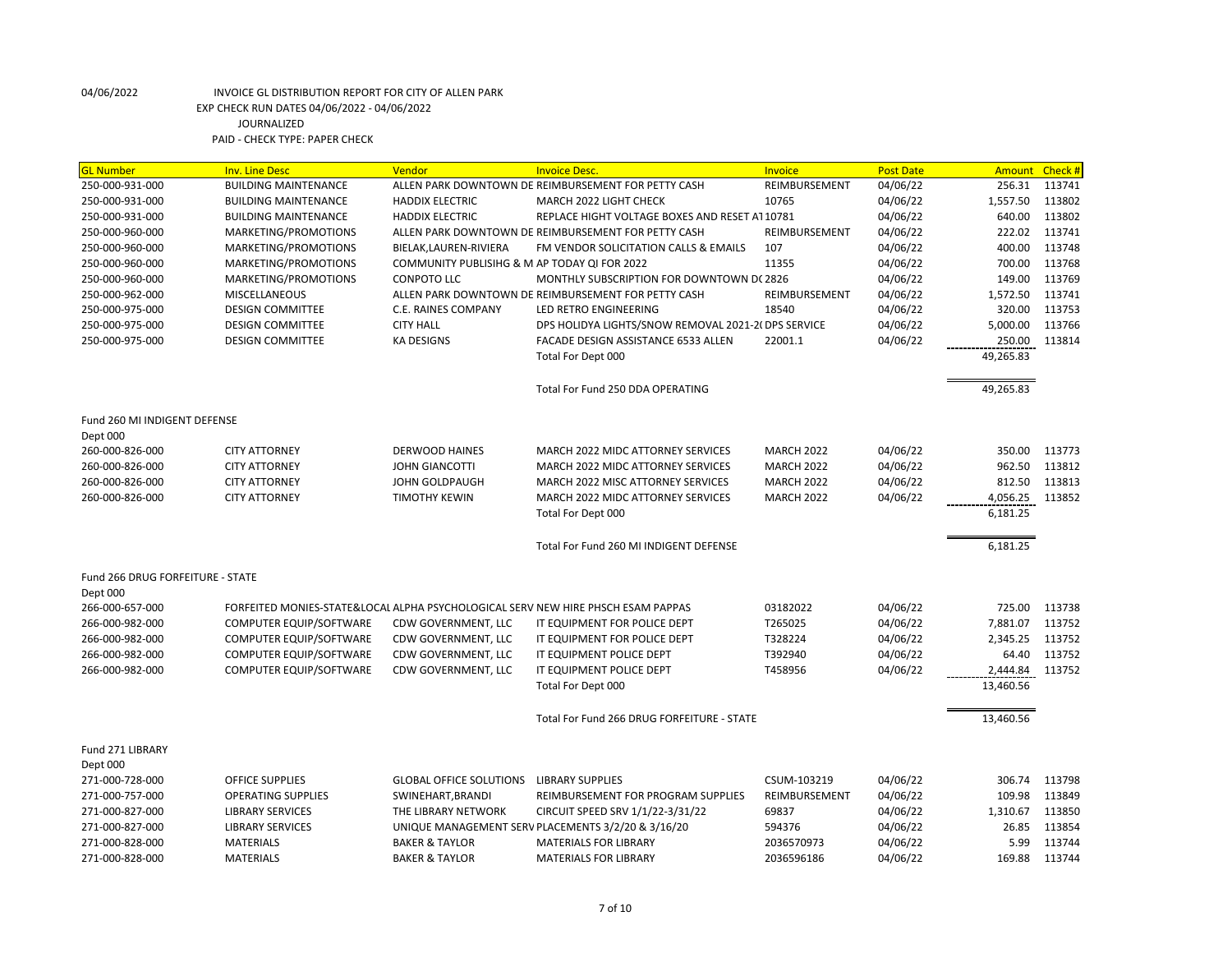| <b>GL Number</b>                 | <b>Inv. Line Desc</b>       | Vendor                                       | <b>Invoice Desc.</b>                                                             | Invoice           | <b>Post Date</b> | <b>Amount</b> | Check # |
|----------------------------------|-----------------------------|----------------------------------------------|----------------------------------------------------------------------------------|-------------------|------------------|---------------|---------|
| 250-000-931-000                  | <b>BUILDING MAINTENANCE</b> |                                              | ALLEN PARK DOWNTOWN DE REIMBURSEMENT FOR PETTY CASH                              | REIMBURSEMENT     | 04/06/22         | 256.31        | 113741  |
| 250-000-931-000                  | <b>BUILDING MAINTENANCE</b> | <b>HADDIX ELECTRIC</b>                       | MARCH 2022 LIGHT CHECK                                                           | 10765             | 04/06/22         | 1,557.50      | 113802  |
| 250-000-931-000                  | <b>BUILDING MAINTENANCE</b> | <b>HADDIX ELECTRIC</b>                       | REPLACE HIGHT VOLTAGE BOXES AND RESET AT 10781                                   |                   | 04/06/22         | 640.00        | 113802  |
| 250-000-960-000                  | MARKETING/PROMOTIONS        |                                              | ALLEN PARK DOWNTOWN DE REIMBURSEMENT FOR PETTY CASH                              | REIMBURSEMENT     | 04/06/22         | 222.02        | 113741  |
| 250-000-960-000                  | MARKETING/PROMOTIONS        | BIELAK, LAUREN-RIVIERA                       | FM VENDOR SOLICITATION CALLS & EMAILS                                            | 107               | 04/06/22         | 400.00        | 113748  |
| 250-000-960-000                  | MARKETING/PROMOTIONS        | COMMUNITY PUBLISIHG & M AP TODAY QI FOR 2022 |                                                                                  | 11355             | 04/06/22         | 700.00        | 113768  |
| 250-000-960-000                  | MARKETING/PROMOTIONS        | <b>CONPOTO LLC</b>                           | MONTHLY SUBSCRIPTION FOR DOWNTOWN D(2826                                         |                   | 04/06/22         | 149.00        | 113769  |
| 250-000-962-000                  | MISCELLANEOUS               |                                              | ALLEN PARK DOWNTOWN DE REIMBURSEMENT FOR PETTY CASH                              | REIMBURSEMENT     | 04/06/22         | 1,572.50      | 113741  |
| 250-000-975-000                  | <b>DESIGN COMMITTEE</b>     | C.E. RAINES COMPANY                          | LED RETRO ENGINEERING                                                            | 18540             | 04/06/22         | 320.00        | 113753  |
| 250-000-975-000                  | <b>DESIGN COMMITTEE</b>     | <b>CITY HALL</b>                             | DPS HOLIDYA LIGHTS/SNOW REMOVAL 2021-2( DPS SERVICE                              |                   | 04/06/22         | 5,000.00      | 113766  |
| 250-000-975-000                  | <b>DESIGN COMMITTEE</b>     | <b>KA DESIGNS</b>                            | FACADE DESIGN ASSISTANCE 6533 ALLEN                                              | 22001.1           | 04/06/22         | 250.00        | 113814  |
|                                  |                             |                                              | Total For Dept 000                                                               |                   |                  | 49,265.83     |         |
|                                  |                             |                                              |                                                                                  |                   |                  |               |         |
|                                  |                             |                                              | Total For Fund 250 DDA OPERATING                                                 |                   |                  | 49,265.83     |         |
|                                  |                             |                                              |                                                                                  |                   |                  |               |         |
| Fund 260 MI INDIGENT DEFENSE     |                             |                                              |                                                                                  |                   |                  |               |         |
| Dept 000                         |                             |                                              |                                                                                  |                   |                  |               |         |
| 260-000-826-000                  | <b>CITY ATTORNEY</b>        | <b>DERWOOD HAINES</b>                        | MARCH 2022 MIDC ATTORNEY SERVICES                                                | <b>MARCH 2022</b> | 04/06/22         | 350.00        | 113773  |
| 260-000-826-000                  | <b>CITY ATTORNEY</b>        | <b>JOHN GIANCOTTI</b>                        | MARCH 2022 MIDC ATTORNEY SERVICES                                                | <b>MARCH 2022</b> | 04/06/22         | 962.50        | 113812  |
| 260-000-826-000                  | <b>CITY ATTORNEY</b>        | JOHN GOLDPAUGH                               | MARCH 2022 MISC ATTORNEY SERVICES                                                | <b>MARCH 2022</b> | 04/06/22         | 812.50        | 113813  |
| 260-000-826-000                  | <b>CITY ATTORNEY</b>        | <b>TIMOTHY KEWIN</b>                         | MARCH 2022 MIDC ATTORNEY SERVICES                                                | <b>MARCH 2022</b> | 04/06/22         | 4,056.25      | 113852  |
|                                  |                             |                                              | Total For Dept 000                                                               |                   |                  | 6,181.25      |         |
|                                  |                             |                                              |                                                                                  |                   |                  |               |         |
|                                  |                             |                                              | Total For Fund 260 MI INDIGENT DEFENSE                                           |                   |                  | 6,181.25      |         |
|                                  |                             |                                              |                                                                                  |                   |                  |               |         |
| Fund 266 DRUG FORFEITURE - STATE |                             |                                              |                                                                                  |                   |                  |               |         |
| Dept 000                         |                             |                                              |                                                                                  |                   |                  |               |         |
| 266-000-657-000                  |                             |                                              | FORFEITED MONIES-STATE&LOCAL ALPHA PSYCHOLOGICAL SERV NEW HIRE PHSCH ESAM PAPPAS | 03182022          | 04/06/22         | 725.00        | 113738  |
| 266-000-982-000                  | COMPUTER EQUIP/SOFTWARE     | CDW GOVERNMENT, LLC                          | IT EQUIPMENT FOR POLICE DEPT                                                     | T265025           | 04/06/22         | 7,881.07      | 113752  |
| 266-000-982-000                  | COMPUTER EQUIP/SOFTWARE     | CDW GOVERNMENT, LLC                          | IT EQUIPMENT FOR POLICE DEPT                                                     | T328224           | 04/06/22         | 2,345.25      | 113752  |
| 266-000-982-000                  |                             |                                              |                                                                                  | T392940           | 04/06/22         | 64.40         | 113752  |
|                                  | COMPUTER EQUIP/SOFTWARE     | CDW GOVERNMENT, LLC                          | IT EQUIPMENT POLICE DEPT                                                         |                   |                  |               |         |
| 266-000-982-000                  | COMPUTER EQUIP/SOFTWARE     | CDW GOVERNMENT, LLC                          | IT EQUIPMENT POLICE DEPT                                                         | T458956           | 04/06/22         | 2,444.84      | 113752  |
|                                  |                             |                                              | Total For Dept 000                                                               |                   |                  | 13,460.56     |         |
|                                  |                             |                                              |                                                                                  |                   |                  |               |         |
|                                  |                             |                                              | Total For Fund 266 DRUG FORFEITURE - STATE                                       |                   |                  | 13,460.56     |         |
| Fund 271 LIBRARY                 |                             |                                              |                                                                                  |                   |                  |               |         |
|                                  |                             |                                              |                                                                                  |                   |                  |               |         |
| Dept 000                         |                             |                                              |                                                                                  |                   |                  |               |         |
| 271-000-728-000                  | <b>OFFICE SUPPLIES</b>      | <b>GLOBAL OFFICE SOLUTIONS</b>               | <b>LIBRARY SUPPLIES</b>                                                          | CSUM-103219       | 04/06/22         | 306.74        | 113798  |
| 271-000-757-000                  | <b>OPERATING SUPPLIES</b>   | SWINEHART, BRANDI                            | REIMBURSEMENT FOR PROGRAM SUPPLIES                                               | REIMBURSEMENT     | 04/06/22         | 109.98        | 113849  |
| 271-000-827-000                  | <b>LIBRARY SERVICES</b>     | THE LIBRARY NETWORK                          | CIRCUIT SPEED SRV 1/1/22-3/31/22                                                 | 69837             | 04/06/22         | 1,310.67      | 113850  |
| 271-000-827-000                  | <b>LIBRARY SERVICES</b>     |                                              | UNIQUE MANAGEMENT SERV PLACEMENTS 3/2/20 & 3/16/20                               | 594376            | 04/06/22         | 26.85         | 113854  |
| 271-000-828-000                  | <b>MATERIALS</b>            | <b>BAKER &amp; TAYLOR</b>                    | <b>MATERIALS FOR LIBRARY</b>                                                     | 2036570973        | 04/06/22         | 5.99          | 113744  |
| 271-000-828-000                  | <b>MATERIALS</b>            | <b>BAKER &amp; TAYLOR</b>                    | <b>MATERIALS FOR LIBRARY</b>                                                     | 2036596186        | 04/06/22         | 169.88        | 113744  |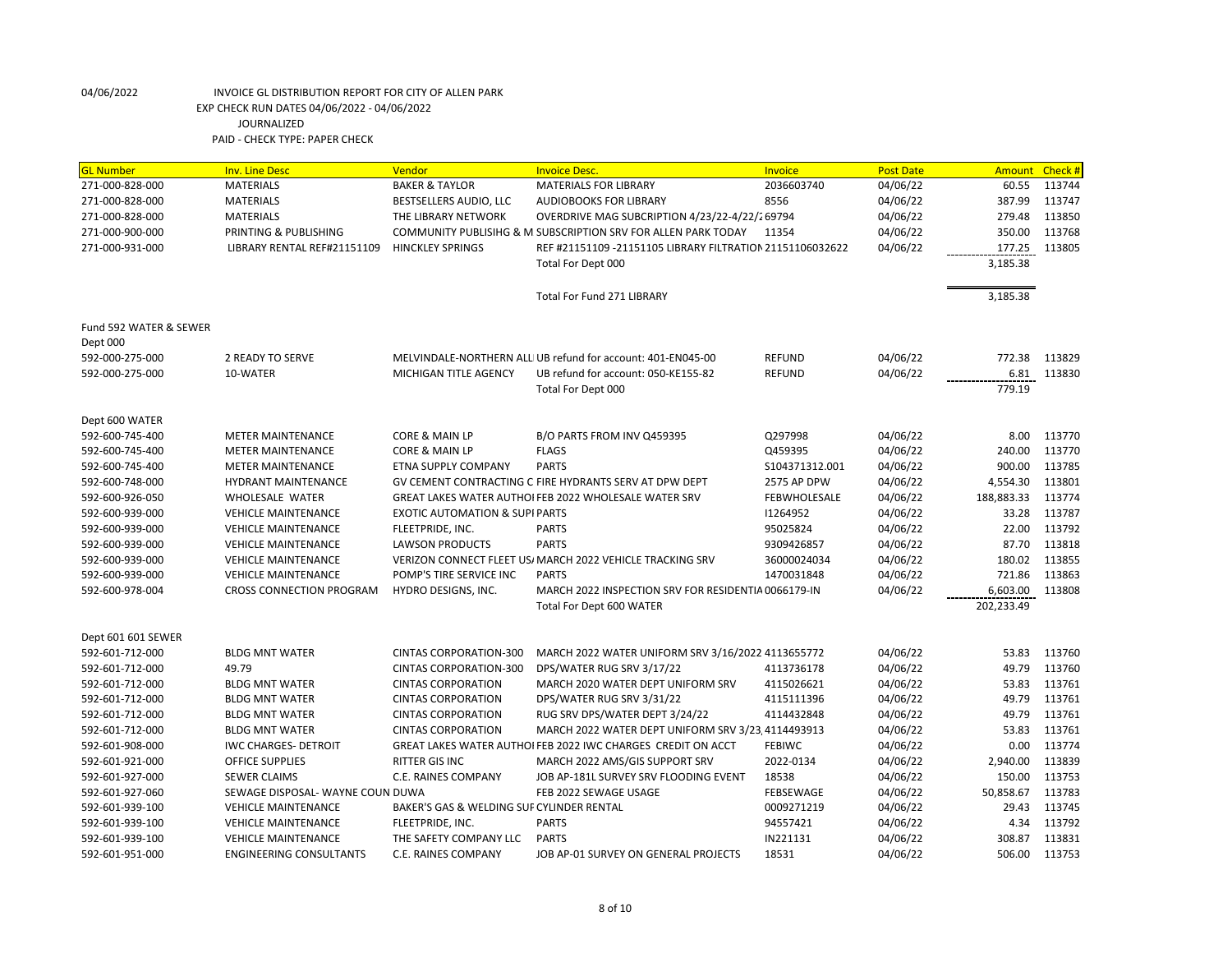| <b>GL Number</b>       | <b>Inv. Line Desc</b>            | <b>Vendor</b>                             | <b>Invoice Desc.</b>                                          | Invoice             | <b>Post Date</b> | Amount     | Check # |
|------------------------|----------------------------------|-------------------------------------------|---------------------------------------------------------------|---------------------|------------------|------------|---------|
| 271-000-828-000        | <b>MATERIALS</b>                 | <b>BAKER &amp; TAYLOR</b>                 | <b>MATERIALS FOR LIBRARY</b>                                  | 2036603740          | 04/06/22         | 60.55      | 113744  |
| 271-000-828-000        | <b>MATERIALS</b>                 | BESTSELLERS AUDIO, LLC                    | <b>AUDIOBOOKS FOR LIBRARY</b>                                 | 8556                | 04/06/22         | 387.99     | 113747  |
| 271-000-828-000        | <b>MATERIALS</b>                 | THE LIBRARY NETWORK                       | OVERDRIVE MAG SUBCRIPTION 4/23/22-4/22/269794                 |                     | 04/06/22         | 279.48     | 113850  |
| 271-000-900-000        | PRINTING & PUBLISHING            |                                           | COMMUNITY PUBLISIHG & M SUBSCRIPTION SRV FOR ALLEN PARK TODAY | 11354               | 04/06/22         | 350.00     | 113768  |
| 271-000-931-000        | LIBRARY RENTAL REF#21151109      | <b>HINCKLEY SPRINGS</b>                   | REF #21151109 -21151105 LIBRARY FILTRATION 21151106032622     |                     | 04/06/22         | 177.25     | 113805  |
|                        |                                  |                                           | Total For Dept 000                                            |                     |                  | 3,185.38   |         |
|                        |                                  |                                           | <b>Total For Fund 271 LIBRARY</b>                             |                     |                  | 3,185.38   |         |
| Fund 592 WATER & SEWER |                                  |                                           |                                                               |                     |                  |            |         |
| Dept 000               |                                  |                                           |                                                               |                     |                  |            |         |
| 592-000-275-000        | 2 READY TO SERVE                 |                                           | MELVINDALE-NORTHERN ALL UB refund for account: 401-EN045-00   | <b>REFUND</b>       | 04/06/22         | 772.38     | 113829  |
| 592-000-275-000        | 10-WATER                         | MICHIGAN TITLE AGENCY                     | UB refund for account: 050-KE155-82                           | <b>REFUND</b>       | 04/06/22         | 6.81       | 113830  |
|                        |                                  |                                           | Total For Dept 000                                            |                     |                  | 779.19     |         |
| Dept 600 WATER         |                                  |                                           |                                                               |                     |                  |            |         |
| 592-600-745-400        | <b>METER MAINTENANCE</b>         | <b>CORE &amp; MAIN LP</b>                 | B/O PARTS FROM INV Q459395                                    | Q297998             | 04/06/22         | 8.00       | 113770  |
| 592-600-745-400        | <b>METER MAINTENANCE</b>         | <b>CORE &amp; MAIN LP</b>                 | <b>FLAGS</b>                                                  | Q459395             | 04/06/22         | 240.00     | 113770  |
| 592-600-745-400        | <b>METER MAINTENANCE</b>         | ETNA SUPPLY COMPANY                       | <b>PARTS</b>                                                  | S104371312.001      | 04/06/22         | 900.00     | 113785  |
| 592-600-748-000        | <b>HYDRANT MAINTENANCE</b>       |                                           | GV CEMENT CONTRACTING C FIRE HYDRANTS SERV AT DPW DEPT        | 2575 AP DPW         | 04/06/22         | 4,554.30   | 113801  |
| 592-600-926-050        | <b>WHOLESALE WATER</b>           |                                           | GREAT LAKES WATER AUTHOI FEB 2022 WHOLESALE WATER SRV         | <b>FEBWHOLESALE</b> | 04/06/22         | 188,883.33 | 113774  |
| 592-600-939-000        | <b>VEHICLE MAINTENANCE</b>       | <b>EXOTIC AUTOMATION &amp; SUPI PARTS</b> |                                                               | 11264952            | 04/06/22         | 33.28      | 113787  |
| 592-600-939-000        | <b>VEHICLE MAINTENANCE</b>       | FLEETPRIDE, INC.                          | <b>PARTS</b>                                                  | 95025824            | 04/06/22         | 22.00      | 113792  |
| 592-600-939-000        | <b>VEHICLE MAINTENANCE</b>       | <b>LAWSON PRODUCTS</b>                    | <b>PARTS</b>                                                  | 9309426857          | 04/06/22         | 87.70      | 113818  |
| 592-600-939-000        | <b>VEHICLE MAINTENANCE</b>       |                                           | VERIZON CONNECT FLEET US/ MARCH 2022 VEHICLE TRACKING SRV     | 36000024034         | 04/06/22         | 180.02     | 113855  |
| 592-600-939-000        | <b>VEHICLE MAINTENANCE</b>       | POMP'S TIRE SERVICE INC                   | <b>PARTS</b>                                                  | 1470031848          | 04/06/22         | 721.86     | 113863  |
| 592-600-978-004        | <b>CROSS CONNECTION PROGRAM</b>  | HYDRO DESIGNS, INC.                       | MARCH 2022 INSPECTION SRV FOR RESIDENTIA 0066179-IN           |                     | 04/06/22         | 6,603.00   | 113808  |
|                        |                                  |                                           | Total For Dept 600 WATER                                      |                     |                  | 202,233.49 |         |
| Dept 601 601 SEWER     |                                  |                                           |                                                               |                     |                  |            |         |
| 592-601-712-000        | <b>BLDG MNT WATER</b>            | <b>CINTAS CORPORATION-300</b>             | MARCH 2022 WATER UNIFORM SRV 3/16/2022 4113655772             |                     | 04/06/22         | 53.83      | 113760  |
| 592-601-712-000        | 49.79                            | <b>CINTAS CORPORATION-300</b>             | DPS/WATER RUG SRV 3/17/22                                     | 4113736178          | 04/06/22         | 49.79      | 113760  |
| 592-601-712-000        | <b>BLDG MNT WATER</b>            | <b>CINTAS CORPORATION</b>                 | MARCH 2020 WATER DEPT UNIFORM SRV                             | 4115026621          | 04/06/22         | 53.83      | 113761  |
| 592-601-712-000        | <b>BLDG MNT WATER</b>            | <b>CINTAS CORPORATION</b>                 | DPS/WATER RUG SRV 3/31/22                                     | 4115111396          | 04/06/22         | 49.79      | 113761  |
| 592-601-712-000        | <b>BLDG MNT WATER</b>            | <b>CINTAS CORPORATION</b>                 | RUG SRV DPS/WATER DEPT 3/24/22                                | 4114432848          | 04/06/22         | 49.79      | 113761  |
| 592-601-712-000        | <b>BLDG MNT WATER</b>            | <b>CINTAS CORPORATION</b>                 | MARCH 2022 WATER DEPT UNIFORM SRV 3/23 4114493913             |                     | 04/06/22         | 53.83      | 113761  |
| 592-601-908-000        | IWC CHARGES- DETROIT             |                                           | GREAT LAKES WATER AUTHOI FEB 2022 IWC CHARGES CREDIT ON ACCT  | <b>FEBIWC</b>       | 04/06/22         | 0.00       | 113774  |
| 592-601-921-000        | <b>OFFICE SUPPLIES</b>           | RITTER GIS INC                            | MARCH 2022 AMS/GIS SUPPORT SRV                                | 2022-0134           | 04/06/22         | 2,940.00   | 113839  |
| 592-601-927-000        | <b>SEWER CLAIMS</b>              | C.E. RAINES COMPANY                       | JOB AP-181L SURVEY SRV FLOODING EVENT                         | 18538               | 04/06/22         | 150.00     | 113753  |
| 592-601-927-060        | SEWAGE DISPOSAL- WAYNE COUN DUWA |                                           | FEB 2022 SEWAGE USAGE                                         | FEBSEWAGE           | 04/06/22         | 50,858.67  | 113783  |
| 592-601-939-100        | <b>VEHICLE MAINTENANCE</b>       | BAKER'S GAS & WELDING SUF CYLINDER RENTAL |                                                               | 0009271219          | 04/06/22         | 29.43      | 113745  |
| 592-601-939-100        | <b>VEHICLE MAINTENANCE</b>       | FLEETPRIDE, INC.                          | <b>PARTS</b>                                                  | 94557421            | 04/06/22         | 4.34       | 113792  |
| 592-601-939-100        | <b>VEHICLE MAINTENANCE</b>       | THE SAFETY COMPANY LLC                    | <b>PARTS</b>                                                  | IN221131            | 04/06/22         | 308.87     | 113831  |
| 592-601-951-000        | <b>ENGINEERING CONSULTANTS</b>   | <b>C.E. RAINES COMPANY</b>                | JOB AP-01 SURVEY ON GENERAL PROJECTS                          | 18531               | 04/06/22         | 506.00     | 113753  |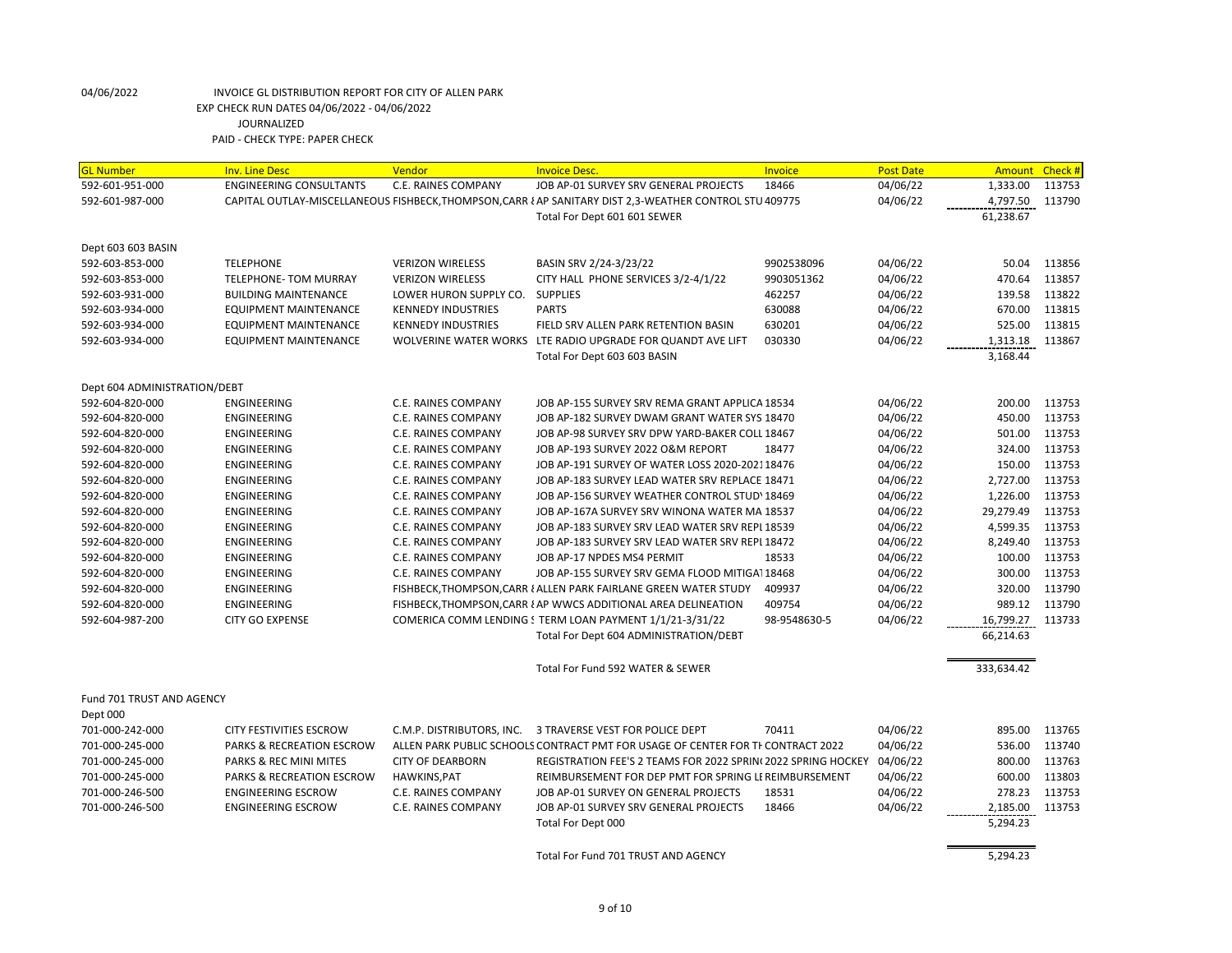| <b>GL Number</b>                                | <b>Inv. Line Desc</b>                | Vendor                     | <b>Invoice Desc.</b>                                                                                    | Invoice      | <b>Post Date</b> | <b>Amount</b> | Check # |
|-------------------------------------------------|--------------------------------------|----------------------------|---------------------------------------------------------------------------------------------------------|--------------|------------------|---------------|---------|
| 592-601-951-000                                 | <b>ENGINEERING CONSULTANTS</b>       | C.E. RAINES COMPANY        | JOB AP-01 SURVEY SRV GENERAL PROJECTS                                                                   | 18466        | 04/06/22         | 1,333.00      | 113753  |
| 592-601-987-000                                 |                                      |                            | CAPITAL OUTLAY-MISCELLANEOUS FISHBECK, THOMPSON, CARR { AP SANITARY DIST 2,3-WEATHER CONTROL STU 409775 |              | 04/06/22         | 4,797.50      | 113790  |
|                                                 |                                      |                            | Total For Dept 601 601 SEWER                                                                            |              |                  | 61,238.67     |         |
|                                                 |                                      |                            |                                                                                                         |              |                  |               |         |
| Dept 603 603 BASIN                              |                                      |                            |                                                                                                         |              |                  |               |         |
| 592-603-853-000                                 | <b>TELEPHONE</b>                     | <b>VERIZON WIRELESS</b>    | BASIN SRV 2/24-3/23/22                                                                                  | 9902538096   | 04/06/22         | 50.04         | 113856  |
| 592-603-853-000                                 | <b>TELEPHONE- TOM MURRAY</b>         | <b>VERIZON WIRELESS</b>    | CITY HALL PHONE SERVICES 3/2-4/1/22                                                                     | 9903051362   | 04/06/22         | 470.64        | 113857  |
| 592-603-931-000                                 | <b>BUILDING MAINTENANCE</b>          | LOWER HURON SUPPLY CO.     | <b>SUPPLIES</b>                                                                                         | 462257       | 04/06/22         | 139.58        | 113822  |
| 592-603-934-000                                 | <b>EQUIPMENT MAINTENANCE</b>         | <b>KENNEDY INDUSTRIES</b>  | <b>PARTS</b>                                                                                            | 630088       | 04/06/22         | 670.00        | 113815  |
| 592-603-934-000                                 | EQUIPMENT MAINTENANCE                | <b>KENNEDY INDUSTRIES</b>  | FIELD SRV ALLEN PARK RETENTION BASIN                                                                    | 630201       | 04/06/22         | 525.00        | 113815  |
| 592-603-934-000                                 | <b>EQUIPMENT MAINTENANCE</b>         |                            | WOLVERINE WATER WORKS LTE RADIO UPGRADE FOR QUANDT AVE LIFT                                             | 030330       | 04/06/22         | 1,313.18      | 113867  |
|                                                 |                                      |                            | Total For Dept 603 603 BASIN                                                                            |              |                  | 3,168.44      |         |
|                                                 |                                      |                            |                                                                                                         |              |                  |               |         |
| Dept 604 ADMINISTRATION/DEBT<br>592-604-820-000 | ENGINEERING                          | C.E. RAINES COMPANY        | JOB AP-155 SURVEY SRV REMA GRANT APPLICA 18534                                                          |              | 04/06/22         | 200.00        | 113753  |
| 592-604-820-000                                 | <b>ENGINEERING</b>                   | C.E. RAINES COMPANY        | JOB AP-182 SURVEY DWAM GRANT WATER SYS 18470                                                            |              | 04/06/22         | 450.00        | 113753  |
| 592-604-820-000                                 | <b>ENGINEERING</b>                   | C.E. RAINES COMPANY        | JOB AP-98 SURVEY SRV DPW YARD-BAKER COLL 18467                                                          |              | 04/06/22         | 501.00        | 113753  |
| 592-604-820-000                                 | <b>ENGINEERING</b>                   | C.E. RAINES COMPANY        | JOB AP-193 SURVEY 2022 O&M REPORT                                                                       | 18477        | 04/06/22         | 324.00        | 113753  |
| 592-604-820-000                                 | <b>ENGINEERING</b>                   | C.E. RAINES COMPANY        | JOB AP-191 SURVEY OF WATER LOSS 2020-202118476                                                          |              | 04/06/22         | 150.00        | 113753  |
|                                                 |                                      |                            |                                                                                                         |              |                  |               |         |
| 592-604-820-000                                 | ENGINEERING                          | C.E. RAINES COMPANY        | JOB AP-183 SURVEY LEAD WATER SRV REPLACE 18471                                                          |              | 04/06/22         | 2,727.00      | 113753  |
| 592-604-820-000                                 | <b>ENGINEERING</b>                   | C.E. RAINES COMPANY        | JOB AP-156 SURVEY WEATHER CONTROL STUD' 18469                                                           |              | 04/06/22         | 1,226.00      | 113753  |
| 592-604-820-000                                 | <b>ENGINEERING</b>                   | C.E. RAINES COMPANY        | JOB AP-167A SURVEY SRV WINONA WATER MA 18537                                                            |              | 04/06/22         | 29,279.49     | 113753  |
| 592-604-820-000                                 | <b>ENGINEERING</b>                   | C.E. RAINES COMPANY        | JOB AP-183 SURVEY SRV LEAD WATER SRV REPI 18539                                                         |              | 04/06/22         | 4,599.35      | 113753  |
| 592-604-820-000                                 | <b>ENGINEERING</b>                   | <b>C.E. RAINES COMPANY</b> | JOB AP-183 SURVEY SRV LEAD WATER SRV REPL 18472                                                         |              | 04/06/22         | 8,249.40      | 113753  |
| 592-604-820-000                                 | <b>ENGINEERING</b>                   | C.E. RAINES COMPANY        | JOB AP-17 NPDES MS4 PERMIT                                                                              | 18533        | 04/06/22         | 100.00        | 113753  |
| 592-604-820-000                                 | <b>ENGINEERING</b>                   | C.E. RAINES COMPANY        | JOB AP-155 SURVEY SRV GEMA FLOOD MITIGA1 18468                                                          |              | 04/06/22         | 300.00        | 113753  |
| 592-604-820-000                                 | <b>ENGINEERING</b>                   |                            | FISHBECK, THOMPSON, CARR { ALLEN PARK FAIRLANE GREEN WATER STUDY                                        | 409937       | 04/06/22         | 320.00        | 113790  |
| 592-604-820-000                                 | <b>ENGINEERING</b>                   |                            | FISHBECK, THOMPSON, CARR { AP WWCS ADDITIONAL AREA DELINEATION                                          | 409754       | 04/06/22         | 989.12        | 113790  |
| 592-604-987-200                                 | <b>CITY GO EXPENSE</b>               |                            | COMERICA COMM LENDING STERM LOAN PAYMENT 1/1/21-3/31/22                                                 | 98-9548630-5 | 04/06/22         | 16,799.27     | 113733  |
|                                                 |                                      |                            | Total For Dept 604 ADMINISTRATION/DEBT                                                                  |              |                  | 66,214.63     |         |
|                                                 |                                      |                            | Total For Fund 592 WATER & SEWER                                                                        |              |                  | 333,634.42    |         |
| Fund 701 TRUST AND AGENCY                       |                                      |                            |                                                                                                         |              |                  |               |         |
| Dept 000                                        |                                      |                            |                                                                                                         |              |                  |               |         |
| 701-000-242-000                                 | CITY FESTIVITIES ESCROW              | C.M.P. DISTRIBUTORS, INC.  | 3 TRAVERSE VEST FOR POLICE DEPT                                                                         | 70411        | 04/06/22         | 895.00        | 113765  |
| 701-000-245-000                                 | <b>PARKS &amp; RECREATION ESCROW</b> |                            | ALLEN PARK PUBLIC SCHOOLS CONTRACT PMT FOR USAGE OF CENTER FOR TI CONTRACT 2022                         |              | 04/06/22         | 536.00        | 113740  |
| 701-000-245-000                                 | PARKS & REC MINI MITES               | <b>CITY OF DEARBORN</b>    | REGISTRATION FEE'S 2 TEAMS FOR 2022 SPRIN(2022 SPRING HOCKEY                                            |              | 04/06/22         | 800.00        | 113763  |
| 701-000-245-000                                 | <b>PARKS &amp; RECREATION ESCROW</b> | <b>HAWKINS, PAT</b>        | REIMBURSEMENT FOR DEP PMT FOR SPRING LI REIMBURSEMENT                                                   |              | 04/06/22         | 600.00        | 113803  |
| 701-000-246-500                                 | <b>ENGINEERING ESCROW</b>            | C.E. RAINES COMPANY        | JOB AP-01 SURVEY ON GENERAL PROJECTS                                                                    | 18531        | 04/06/22         | 278.23        | 113753  |
| 701-000-246-500                                 | <b>ENGINEERING ESCROW</b>            | C.E. RAINES COMPANY        | JOB AP-01 SURVEY SRV GENERAL PROJECTS                                                                   | 18466        | 04/06/22         | 2,185.00      | 113753  |
|                                                 |                                      |                            | Total For Dept 000                                                                                      |              |                  | 5,294.23      |         |
|                                                 |                                      |                            |                                                                                                         |              |                  |               |         |
|                                                 |                                      |                            | Total For Fund 701 TRUST AND AGENCY                                                                     |              |                  | 5.294.23      |         |